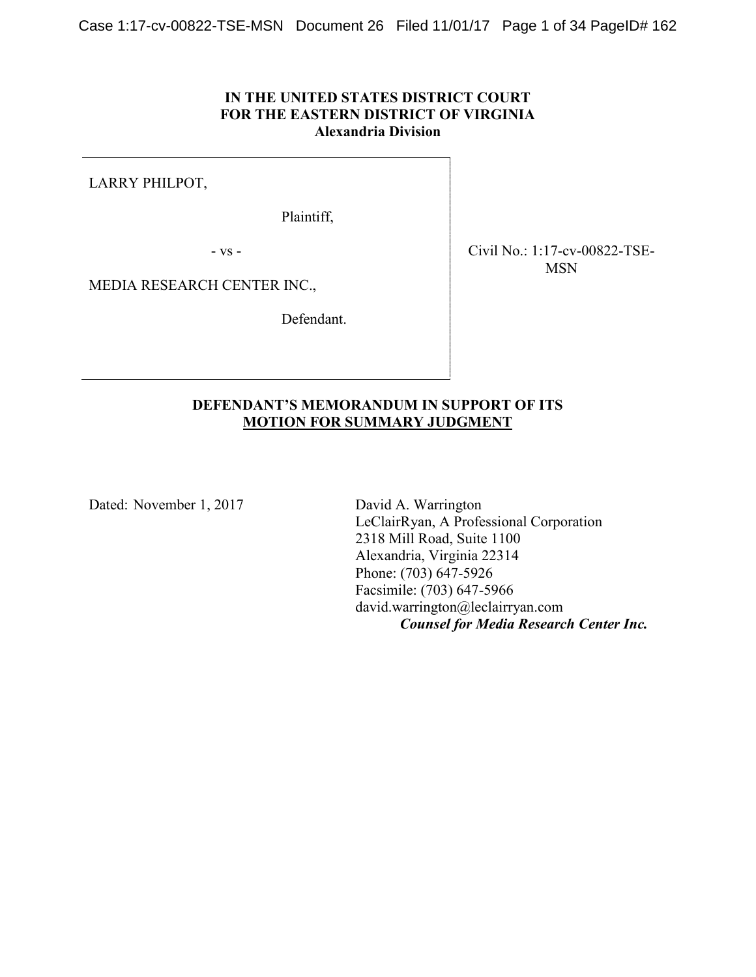## **IN THE UNITED STATES DISTRICT COURT FOR THE EASTERN DISTRICT OF VIRGINIA Alexandria Division**

LARRY PHILPOT,

Plaintiff,

- vs -

Civil No.: 1:17-cv-00822-TSE-MSN

MEDIA RESEARCH CENTER INC.,

Defendant.

## **DEFENDANT'S MEMORANDUM IN SUPPORT OF ITS MOTION FOR SUMMARY JUDGMENT**

Dated: November 1, 2017 David A. Warrington

LeClairRyan, A Professional Corporation 2318 Mill Road, Suite 1100 Alexandria, Virginia 22314 Phone: (703) 647-5926 Facsimile: (703) 647-5966 david.warrington@leclairryan.com *Counsel for Media Research Center Inc.*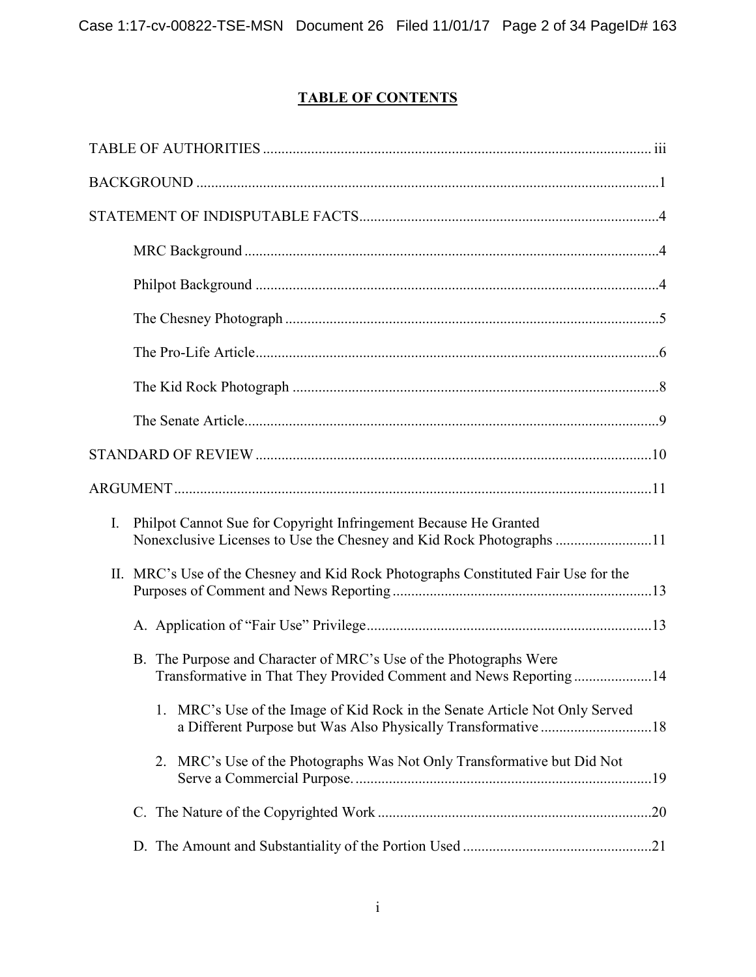# **TABLE OF CONTENTS**

| Philpot Cannot Sue for Copyright Infringement Because He Granted<br>$\mathbf{I}$ .<br>Nonexclusive Licenses to Use the Chesney and Kid Rock Photographs 11 |  |
|------------------------------------------------------------------------------------------------------------------------------------------------------------|--|
| II. MRC's Use of the Chesney and Kid Rock Photographs Constituted Fair Use for the                                                                         |  |
|                                                                                                                                                            |  |
| B. The Purpose and Character of MRC's Use of the Photographs Were<br>Transformative in That They Provided Comment and News Reporting14                     |  |
| 1. MRC's Use of the Image of Kid Rock in the Senate Article Not Only Served                                                                                |  |
| 2. MRC's Use of the Photographs Was Not Only Transformative but Did Not                                                                                    |  |
|                                                                                                                                                            |  |
|                                                                                                                                                            |  |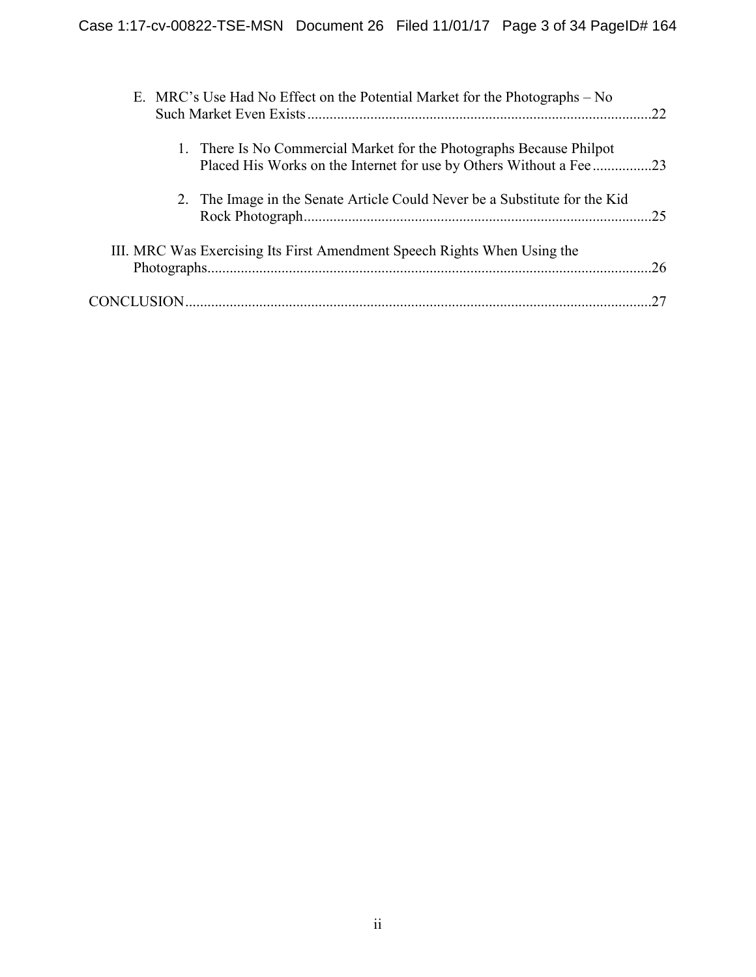| E. MRC's Use Had No Effect on the Potential Market for the Photographs – No | 22 |
|-----------------------------------------------------------------------------|----|
| 1. There Is No Commercial Market for the Photographs Because Philpot        |    |
| 2. The Image in the Senate Article Could Never be a Substitute for the Kid  | 25 |
| III. MRC Was Exercising Its First Amendment Speech Rights When Using the    |    |
|                                                                             |    |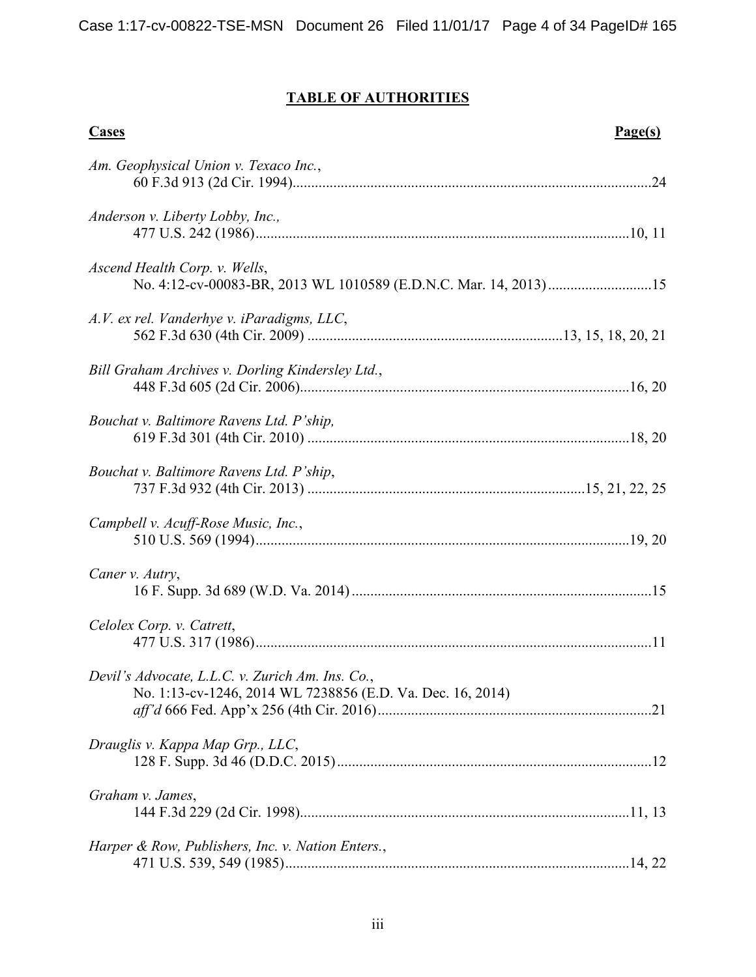# **TABLE OF AUTHORITIES**

| Cases                                                                                                          | Page(s) |
|----------------------------------------------------------------------------------------------------------------|---------|
| Am. Geophysical Union v. Texaco Inc.,                                                                          |         |
| Anderson v. Liberty Lobby, Inc.,                                                                               |         |
| Ascend Health Corp. v. Wells,                                                                                  |         |
| A.V. ex rel. Vanderhye v. iParadigms, LLC,                                                                     |         |
| Bill Graham Archives v. Dorling Kindersley Ltd.,                                                               |         |
| Bouchat v. Baltimore Ravens Ltd. P'ship,                                                                       |         |
| Bouchat v. Baltimore Ravens Ltd. P'ship,                                                                       |         |
| Campbell v. Acuff-Rose Music, Inc.,                                                                            |         |
| Caner v. Autry,                                                                                                |         |
| Celolex Corp. v. Catrett,                                                                                      |         |
| Devil's Advocate, L.L.C. v. Zurich Am. Ins. Co.,<br>No. 1:13-cv-1246, 2014 WL 7238856 (E.D. Va. Dec. 16, 2014) |         |
| Drauglis v. Kappa Map Grp., LLC,                                                                               |         |
| Graham v. James,                                                                                               |         |
| Harper & Row, Publishers, Inc. v. Nation Enters.,                                                              |         |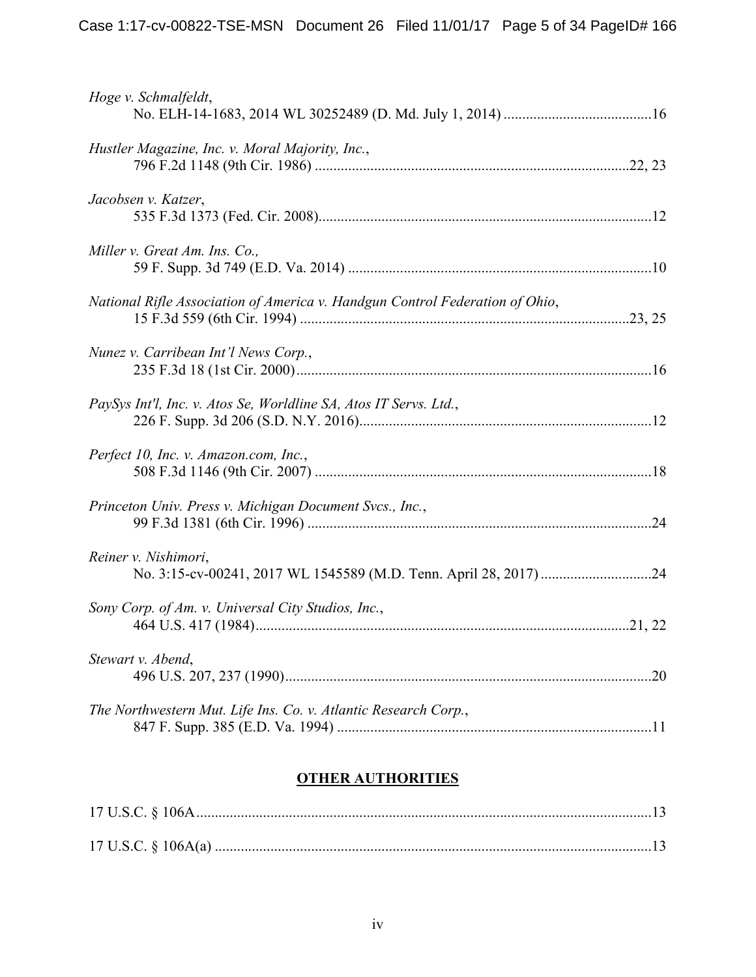| Hoge v. Schmalfeldt,                                                         |  |
|------------------------------------------------------------------------------|--|
| Hustler Magazine, Inc. v. Moral Majority, Inc.,                              |  |
| Jacobsen v. Katzer,                                                          |  |
| Miller v. Great Am. Ins. Co.,                                                |  |
| National Rifle Association of America v. Handgun Control Federation of Ohio, |  |
| Nunez v. Carribean Int'l News Corp.,                                         |  |
| PaySys Int'l, Inc. v. Atos Se, Worldline SA, Atos IT Servs. Ltd.,            |  |
| Perfect 10, Inc. v. Amazon.com, Inc.,                                        |  |
| Princeton Univ. Press v. Michigan Document Svcs., Inc.,                      |  |
| Reiner v. Nishimori,                                                         |  |
| Sony Corp. of Am. v. Universal City Studios, Inc.,                           |  |
| Stewart v. Abend,                                                            |  |
| The Northwestern Mut. Life Ins. Co. v. Atlantic Research Corp.,              |  |

## **OTHER AUTHORITIES**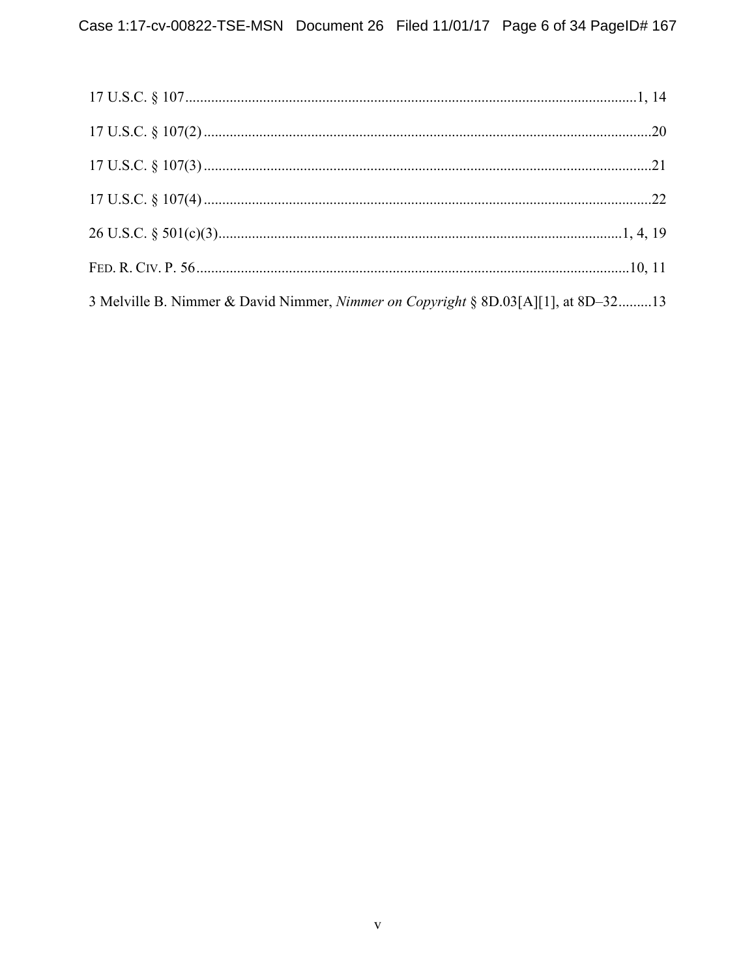| 3 Melville B. Nimmer & David Nimmer, <i>Nimmer on Copyright</i> § 8D.03[A][1], at 8D–3213 |  |
|-------------------------------------------------------------------------------------------|--|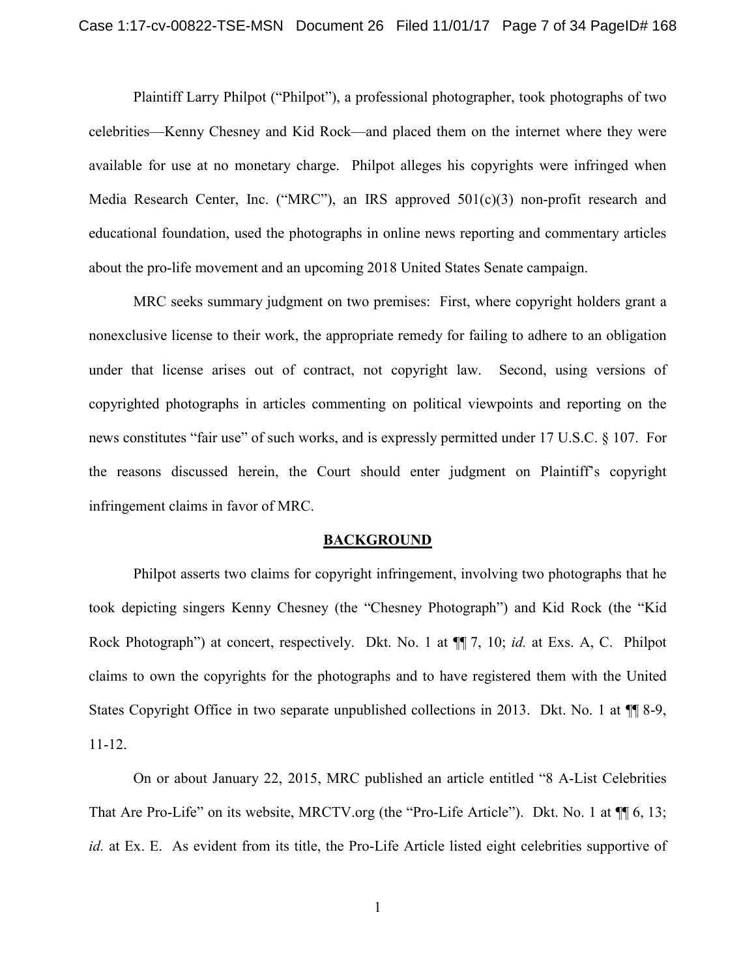Plaintiff Larry Philpot ("Philpot"), a professional photographer, took photographs of two celebrities—Kenny Chesney and Kid Rock—and placed them on the internet where they were available for use at no monetary charge. Philpot alleges his copyrights were infringed when Media Research Center, Inc. ("MRC"), an IRS approved 501(c)(3) non-profit research and educational foundation, used the photographs in online news reporting and commentary articles about the pro-life movement and an upcoming 2018 United States Senate campaign.

MRC seeks summary judgment on two premises: First, where copyright holders grant a nonexclusive license to their work, the appropriate remedy for failing to adhere to an obligation under that license arises out of contract, not copyright law. Second, using versions of copyrighted photographs in articles commenting on political viewpoints and reporting on the news constitutes "fair use" of such works, and is expressly permitted under 17 U.S.C. § 107. For the reasons discussed herein, the Court should enter judgment on Plaintiff's copyright infringement claims in favor of MRC.

#### **BACKGROUND**

Philpot asserts two claims for copyright infringement, involving two photographs that he took depicting singers Kenny Chesney (the "Chesney Photograph") and Kid Rock (the "Kid Rock Photograph") at concert, respectively. Dkt. No. 1 at ¶¶ 7, 10; *id.* at Exs. A, C. Philpot claims to own the copyrights for the photographs and to have registered them with the United States Copyright Office in two separate unpublished collections in 2013. Dkt. No. 1 at ¶¶ 8-9, 11-12.

On or about January 22, 2015, MRC published an article entitled "8 A-List Celebrities That Are Pro-Life" on its website, MRCTV.org (the "Pro-Life Article"). Dkt. No. 1 at  $\P$  6, 13; *id.* at Ex. E. As evident from its title, the Pro-Life Article listed eight celebrities supportive of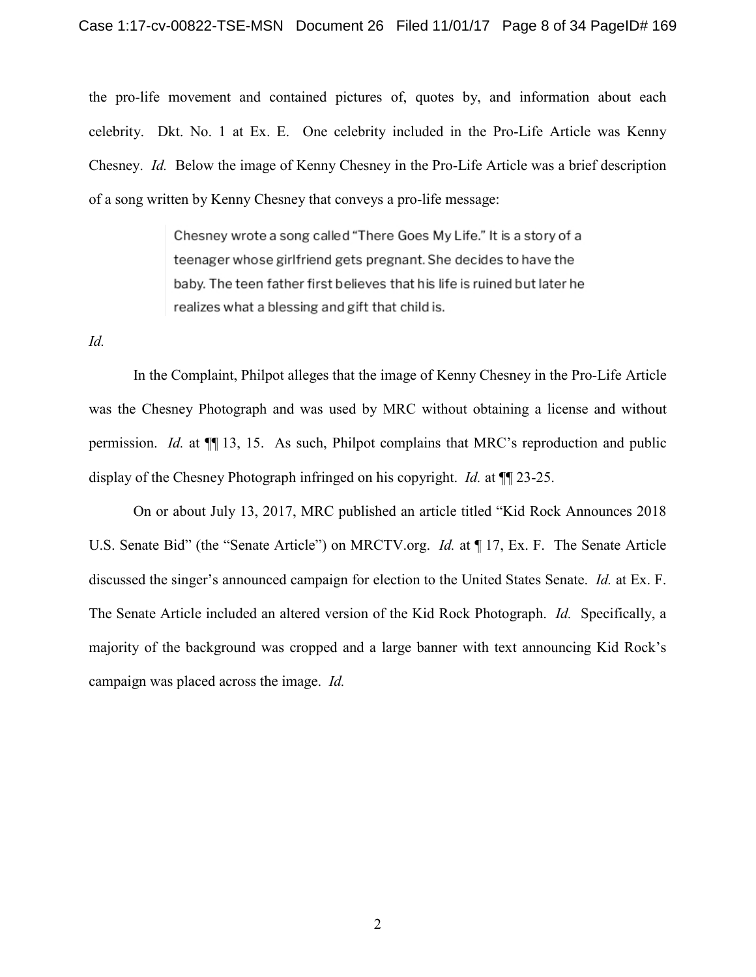the pro-life movement and contained pictures of, quotes by, and information about each celebrity. Dkt. No. 1 at Ex. E. One celebrity included in the Pro-Life Article was Kenny Chesney. *Id.* Below the image of Kenny Chesney in the Pro-Life Article was a brief description of a song written by Kenny Chesney that conveys a pro-life message:

> Chesney wrote a song called "There Goes My Life." It is a story of a teenager whose girlfriend gets pregnant. She decides to have the baby. The teen father first believes that his life is ruined but later he realizes what a blessing and gift that child is.

*Id.*

In the Complaint, Philpot alleges that the image of Kenny Chesney in the Pro-Life Article was the Chesney Photograph and was used by MRC without obtaining a license and without permission. *Id.* at ¶¶ 13, 15. As such, Philpot complains that MRC's reproduction and public display of the Chesney Photograph infringed on his copyright. *Id.* at ¶¶ 23-25.

On or about July 13, 2017, MRC published an article titled "Kid Rock Announces 2018 U.S. Senate Bid" (the "Senate Article") on MRCTV.org. *Id.* at ¶ 17, Ex. F. The Senate Article discussed the singer's announced campaign for election to the United States Senate. *Id.* at Ex. F. The Senate Article included an altered version of the Kid Rock Photograph. *Id.* Specifically, a majority of the background was cropped and a large banner with text announcing Kid Rock's campaign was placed across the image. *Id.*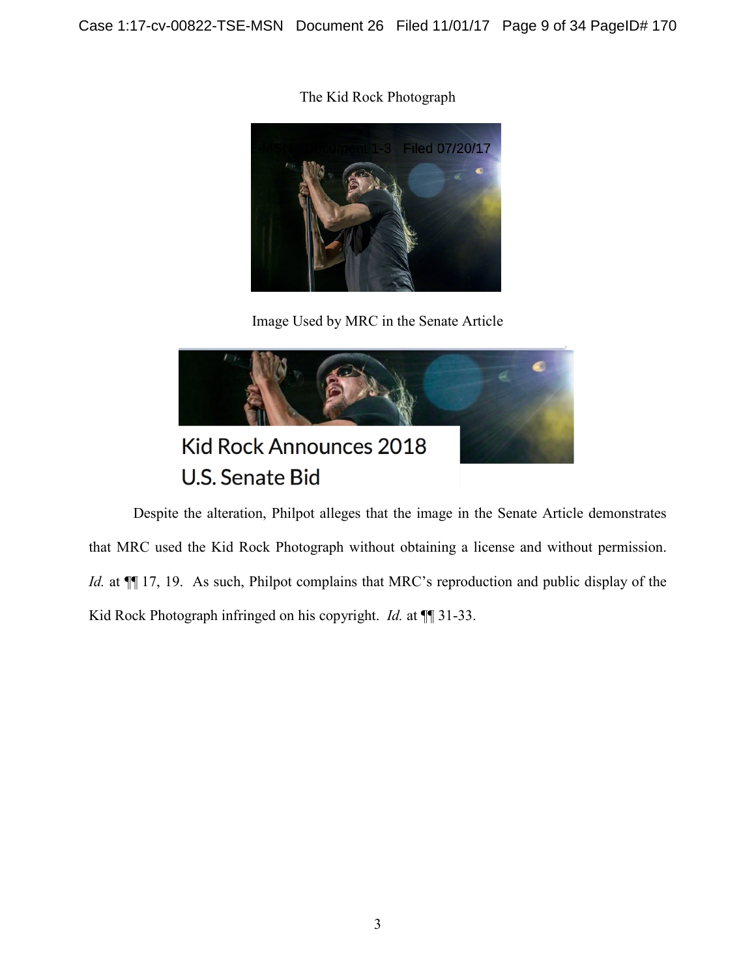The Kid Rock Photograph



Image Used by MRC in the Senate Article



Despite the alteration, Philpot alleges that the image in the Senate Article demonstrates that MRC used the Kid Rock Photograph without obtaining a license and without permission. *Id.* at  $\P$  17, 19. As such, Philpot complains that MRC's reproduction and public display of the Kid Rock Photograph infringed on his copyright. *Id.* at ¶¶ 31-33.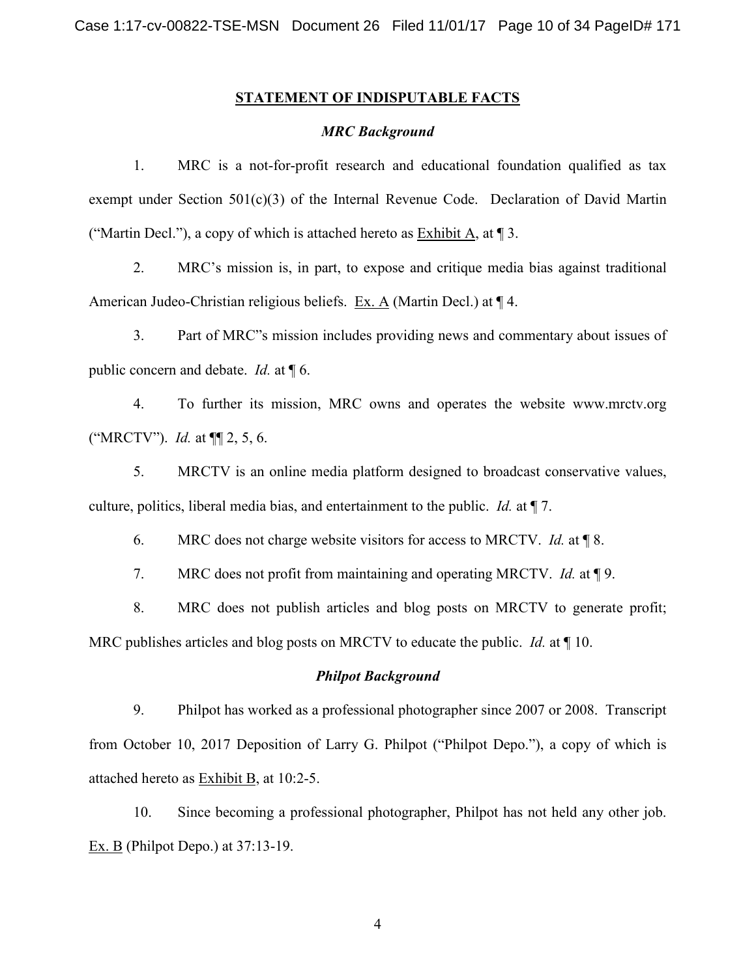#### **STATEMENT OF INDISPUTABLE FACTS**

#### *MRC Background*

1. MRC is a not-for-profit research and educational foundation qualified as tax exempt under Section 501(c)(3) of the Internal Revenue Code. Declaration of David Martin ("Martin Decl."), a copy of which is attached hereto as Exhibit A, at  $\P$  3.

2. MRC's mission is, in part, to expose and critique media bias against traditional American Judeo-Christian religious beliefs. Ex. A (Martin Decl.) at ¶ 4.

3. Part of MRC"s mission includes providing news and commentary about issues of public concern and debate. *Id.* at ¶ 6.

4. To further its mission, MRC owns and operates the website www.mrctv.org ("MRCTV"). *Id.* at ¶¶ 2, 5, 6.

5. MRCTV is an online media platform designed to broadcast conservative values, culture, politics, liberal media bias, and entertainment to the public. *Id.* at ¶ 7.

6. MRC does not charge website visitors for access to MRCTV. *Id.* at ¶ 8.

7. MRC does not profit from maintaining and operating MRCTV. *Id.* at ¶ 9.

8. MRC does not publish articles and blog posts on MRCTV to generate profit; MRC publishes articles and blog posts on MRCTV to educate the public. *Id.* at ¶ 10.

#### *Philpot Background*

9. Philpot has worked as a professional photographer since 2007 or 2008. Transcript from October 10, 2017 Deposition of Larry G. Philpot ("Philpot Depo."), a copy of which is attached hereto as Exhibit B, at 10:2-5.

10. Since becoming a professional photographer, Philpot has not held any other job. Ex. B (Philpot Depo.) at 37:13-19.

4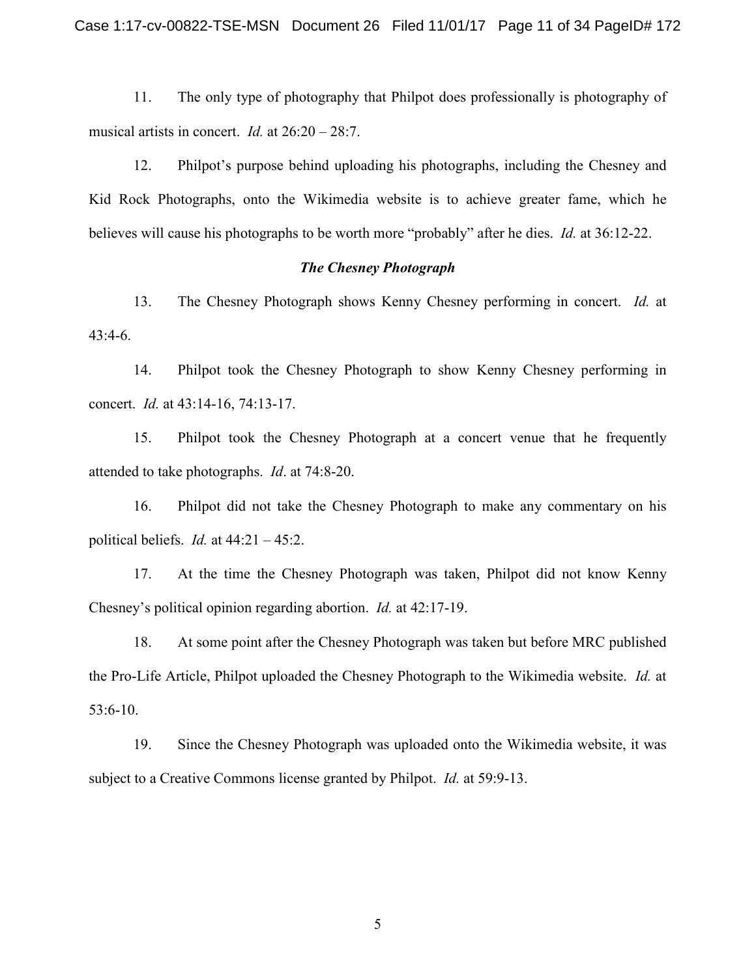Case 1:17-cv-00822-TSE-MSN Document 26 Filed 11/01/17 Page 11 of 34 PageID# 172

11. The only type of photography that Philpot does professionally is photography of musical artists in concert. *Id.* at 26:20 – 28:7.

12. Philpot's purpose behind uploading his photographs, including the Chesney and Kid Rock Photographs, onto the Wikimedia website is to achieve greater fame, which he believes will cause his photographs to be worth more "probably" after he dies. *Id.* at 36:12-22.

#### *The Chesney Photograph*

13. The Chesney Photograph shows Kenny Chesney performing in concert. *Id.* at 43:4-6.

14. Philpot took the Chesney Photograph to show Kenny Chesney performing in concert. *Id.* at 43:14-16, 74:13-17.

15. Philpot took the Chesney Photograph at a concert venue that he frequently attended to take photographs. *Id*. at 74:8-20.

16. Philpot did not take the Chesney Photograph to make any commentary on his political beliefs. *Id.* at 44:21 – 45:2.

17. At the time the Chesney Photograph was taken, Philpot did not know Kenny Chesney's political opinion regarding abortion. *Id.* at 42:17-19.

18. At some point after the Chesney Photograph was taken but before MRC published the Pro-Life Article, Philpot uploaded the Chesney Photograph to the Wikimedia website. *Id.* at 53:6-10.

19. Since the Chesney Photograph was uploaded onto the Wikimedia website, it was subject to a Creative Commons license granted by Philpot. *Id.* at 59:9-13.

5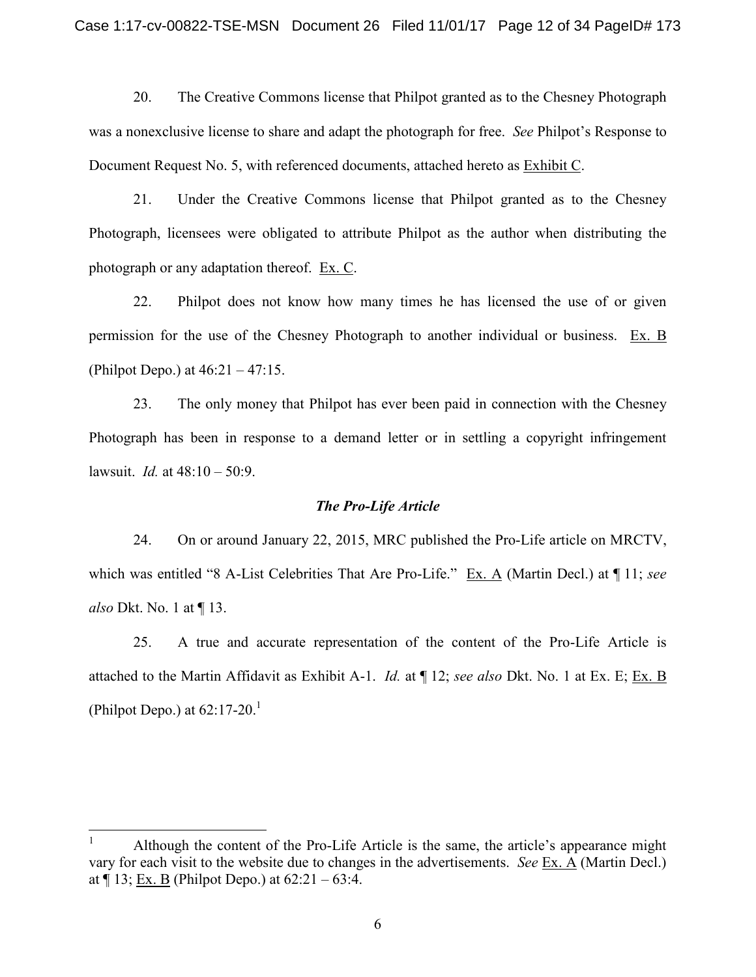20. The Creative Commons license that Philpot granted as to the Chesney Photograph was a nonexclusive license to share and adapt the photograph for free. *See* Philpot's Response to Document Request No. 5, with referenced documents, attached hereto as Exhibit C.

21. Under the Creative Commons license that Philpot granted as to the Chesney Photograph, licensees were obligated to attribute Philpot as the author when distributing the photograph or any adaptation thereof. Ex. C.

22. Philpot does not know how many times he has licensed the use of or given permission for the use of the Chesney Photograph to another individual or business. Ex. B (Philpot Depo.) at 46:21 – 47:15.

23. The only money that Philpot has ever been paid in connection with the Chesney Photograph has been in response to a demand letter or in settling a copyright infringement lawsuit. *Id.* at 48:10 – 50:9.

#### *The Pro-Life Article*

24. On or around January 22, 2015, MRC published the Pro-Life article on MRCTV, which was entitled "8 A-List Celebrities That Are Pro-Life." Ex. A (Martin Decl.) at ¶ 11; *see also* Dkt. No. 1 at ¶ 13.

25. A true and accurate representation of the content of the Pro-Life Article is attached to the Martin Affidavit as Exhibit A-1. *Id.* at ¶ 12; *see also* Dkt. No. 1 at Ex. E; Ex. B (Philpot Depo.) at  $62:17-20.<sup>1</sup>$ 

<sup>&</sup>lt;sup>1</sup> Although the content of the Pro-Life Article is the same, the article's appearance might vary for each visit to the website due to changes in the advertisements. *See* Ex. A (Martin Decl.) at  $\P$  13; Ex. B (Philpot Depo.) at 62:21 – 63:4.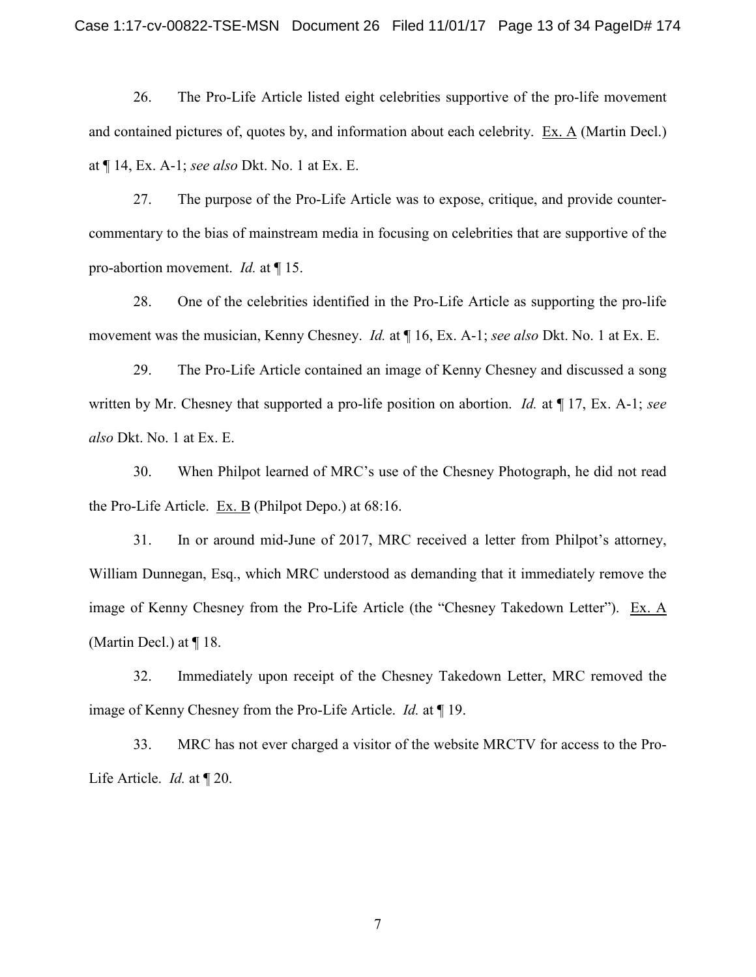26. The Pro-Life Article listed eight celebrities supportive of the pro-life movement and contained pictures of, quotes by, and information about each celebrity. Ex. A (Martin Decl.) at ¶ 14, Ex. A-1; *see also* Dkt. No. 1 at Ex. E.

27. The purpose of the Pro-Life Article was to expose, critique, and provide countercommentary to the bias of mainstream media in focusing on celebrities that are supportive of the pro-abortion movement. *Id.* at ¶ 15.

28. One of the celebrities identified in the Pro-Life Article as supporting the pro-life movement was the musician, Kenny Chesney. *Id.* at ¶ 16, Ex. A-1; *see also* Dkt. No. 1 at Ex. E.

29. The Pro-Life Article contained an image of Kenny Chesney and discussed a song written by Mr. Chesney that supported a pro-life position on abortion. *Id.* at ¶ 17, Ex. A-1; *see also* Dkt. No. 1 at Ex. E.

30. When Philpot learned of MRC's use of the Chesney Photograph, he did not read the Pro-Life Article. Ex. B (Philpot Depo.) at  $68:16$ .

31. In or around mid-June of 2017, MRC received a letter from Philpot's attorney, William Dunnegan, Esq., which MRC understood as demanding that it immediately remove the image of Kenny Chesney from the Pro-Life Article (the "Chesney Takedown Letter"). Ex. A (Martin Decl.) at ¶ 18.

32. Immediately upon receipt of the Chesney Takedown Letter, MRC removed the image of Kenny Chesney from the Pro-Life Article. *Id.* at ¶ 19.

33. MRC has not ever charged a visitor of the website MRCTV for access to the Pro-Life Article. *Id.* at ¶ 20.

7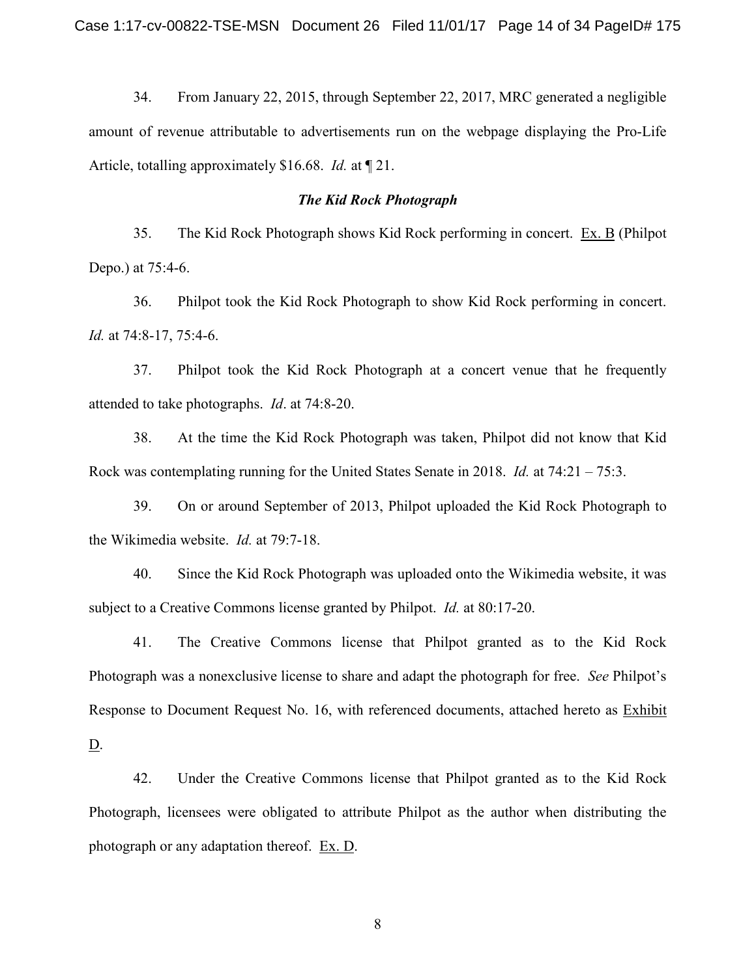34. From January 22, 2015, through September 22, 2017, MRC generated a negligible amount of revenue attributable to advertisements run on the webpage displaying the Pro-Life Article, totalling approximately \$16.68. *Id.* at ¶ 21.

#### *The Kid Rock Photograph*

35. The Kid Rock Photograph shows Kid Rock performing in concert. Ex. B (Philpot Depo.) at 75:4-6.

36. Philpot took the Kid Rock Photograph to show Kid Rock performing in concert. *Id.* at 74:8-17, 75:4-6.

37. Philpot took the Kid Rock Photograph at a concert venue that he frequently attended to take photographs. *Id*. at 74:8-20.

38. At the time the Kid Rock Photograph was taken, Philpot did not know that Kid Rock was contemplating running for the United States Senate in 2018. *Id.* at 74:21 – 75:3.

39. On or around September of 2013, Philpot uploaded the Kid Rock Photograph to the Wikimedia website. *Id.* at 79:7-18.

40. Since the Kid Rock Photograph was uploaded onto the Wikimedia website, it was subject to a Creative Commons license granted by Philpot. *Id.* at 80:17-20.

41. The Creative Commons license that Philpot granted as to the Kid Rock Photograph was a nonexclusive license to share and adapt the photograph for free. *See* Philpot's Response to Document Request No. 16, with referenced documents, attached hereto as Exhibit

 $\underline{\mathbf{D}}$ .

42. Under the Creative Commons license that Philpot granted as to the Kid Rock Photograph, licensees were obligated to attribute Philpot as the author when distributing the photograph or any adaptation thereof. Ex. D.

8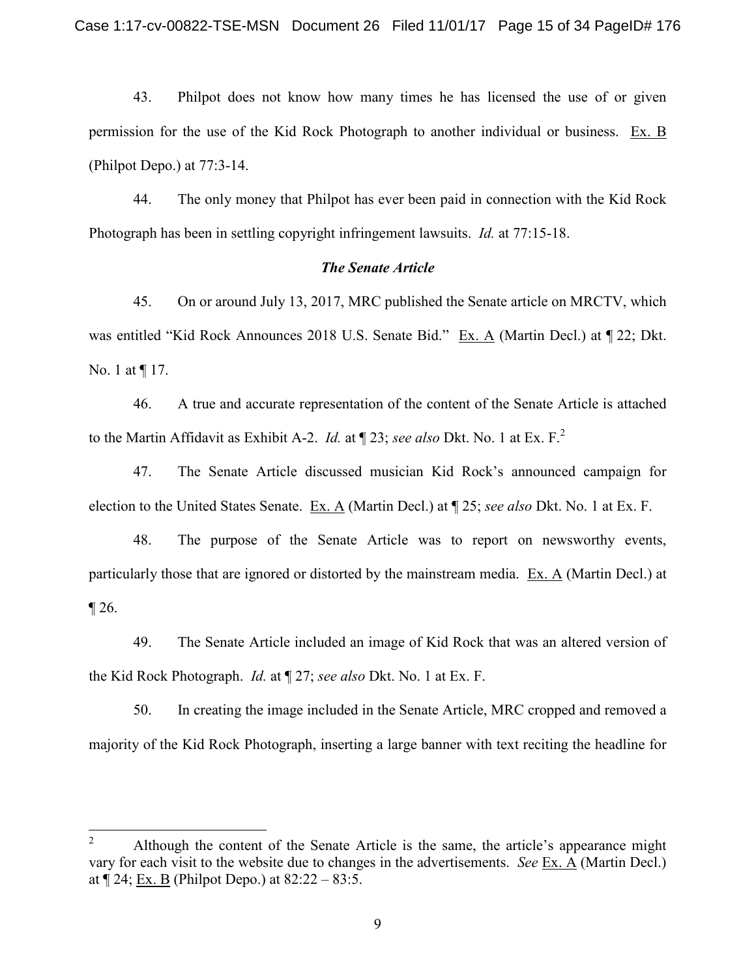43. Philpot does not know how many times he has licensed the use of or given permission for the use of the Kid Rock Photograph to another individual or business. Ex. B (Philpot Depo.) at 77:3-14.

44. The only money that Philpot has ever been paid in connection with the Kid Rock Photograph has been in settling copyright infringement lawsuits. *Id.* at 77:15-18.

#### *The Senate Article*

45. On or around July 13, 2017, MRC published the Senate article on MRCTV, which was entitled "Kid Rock Announces 2018 U.S. Senate Bid." Ex. A (Martin Decl.) at  $\P$  22; Dkt. No. 1 at ¶ 17.

46. A true and accurate representation of the content of the Senate Article is attached to the Martin Affidavit as Exhibit A-2. *Id.* at ¶ 23; *see also* Dkt. No. 1 at Ex. F.<sup>2</sup>

47. The Senate Article discussed musician Kid Rock's announced campaign for election to the United States Senate. Ex. A (Martin Decl.) at ¶ 25; *see also* Dkt. No. 1 at Ex. F.

48. The purpose of the Senate Article was to report on newsworthy events, particularly those that are ignored or distorted by the mainstream media.  $Ex. A$  (Martin Decl.) at  $\P$  26.

49. The Senate Article included an image of Kid Rock that was an altered version of the Kid Rock Photograph. *Id.* at ¶ 27; *see also* Dkt. No. 1 at Ex. F.

50. In creating the image included in the Senate Article, MRC cropped and removed a majority of the Kid Rock Photograph, inserting a large banner with text reciting the headline for

<sup>&</sup>lt;sup>2</sup> Although the content of the Senate Article is the same, the article's appearance might vary for each visit to the website due to changes in the advertisements. *See* Ex. A (Martin Decl.) at  $\P$  24; Ex. B (Philpot Depo.) at 82:22 – 83:5.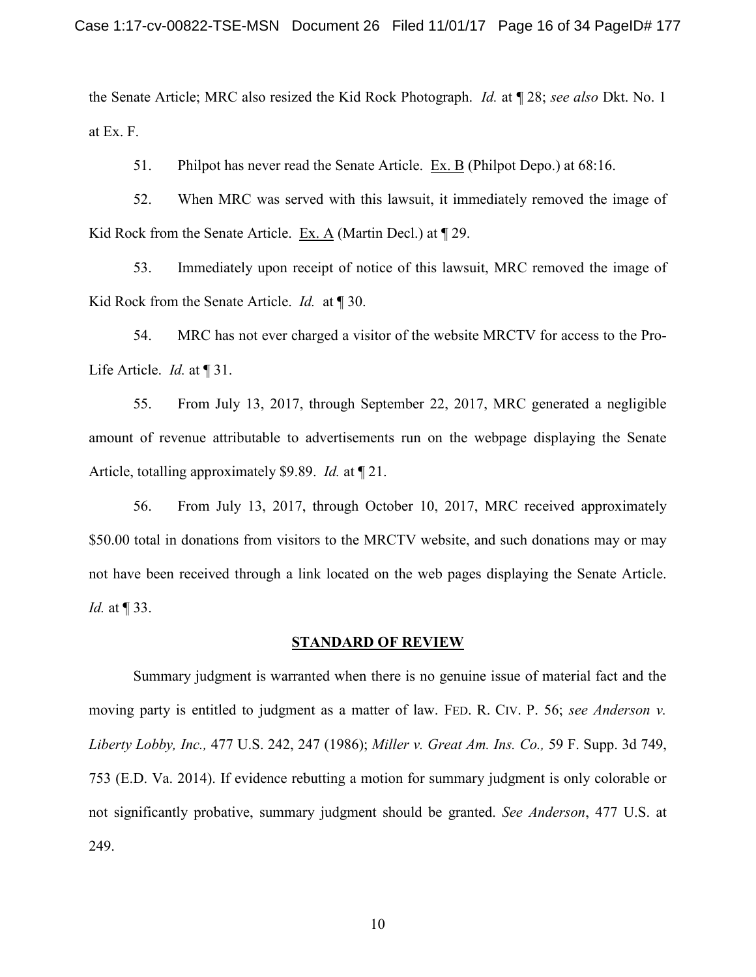the Senate Article; MRC also resized the Kid Rock Photograph. *Id.* at ¶ 28; *see also* Dkt. No. 1 at Ex. F.

51. Philpot has never read the Senate Article. Ex. B (Philpot Depo.) at 68:16.

52. When MRC was served with this lawsuit, it immediately removed the image of Kid Rock from the Senate Article. Ex. A (Martin Decl.) at  $\P$  29.

53. Immediately upon receipt of notice of this lawsuit, MRC removed the image of Kid Rock from the Senate Article. *Id.* at ¶ 30.

54. MRC has not ever charged a visitor of the website MRCTV for access to the Pro-Life Article. *Id.* at ¶ 31.

55. From July 13, 2017, through September 22, 2017, MRC generated a negligible amount of revenue attributable to advertisements run on the webpage displaying the Senate Article, totalling approximately \$9.89. *Id.* at ¶ 21.

56. From July 13, 2017, through October 10, 2017, MRC received approximately \$50.00 total in donations from visitors to the MRCTV website, and such donations may or may not have been received through a link located on the web pages displaying the Senate Article. *Id.* at ¶ 33.

#### **STANDARD OF REVIEW**

Summary judgment is warranted when there is no genuine issue of material fact and the moving party is entitled to judgment as a matter of law. FED. R. CIV. P. 56; *see Anderson v. Liberty Lobby, Inc.,* 477 U.S. 242, 247 (1986); *Miller v. Great Am. Ins. Co.,* 59 F. Supp. 3d 749, 753 (E.D. Va. 2014). If evidence rebutting a motion for summary judgment is only colorable or not significantly probative, summary judgment should be granted. *See Anderson*, 477 U.S. at 249.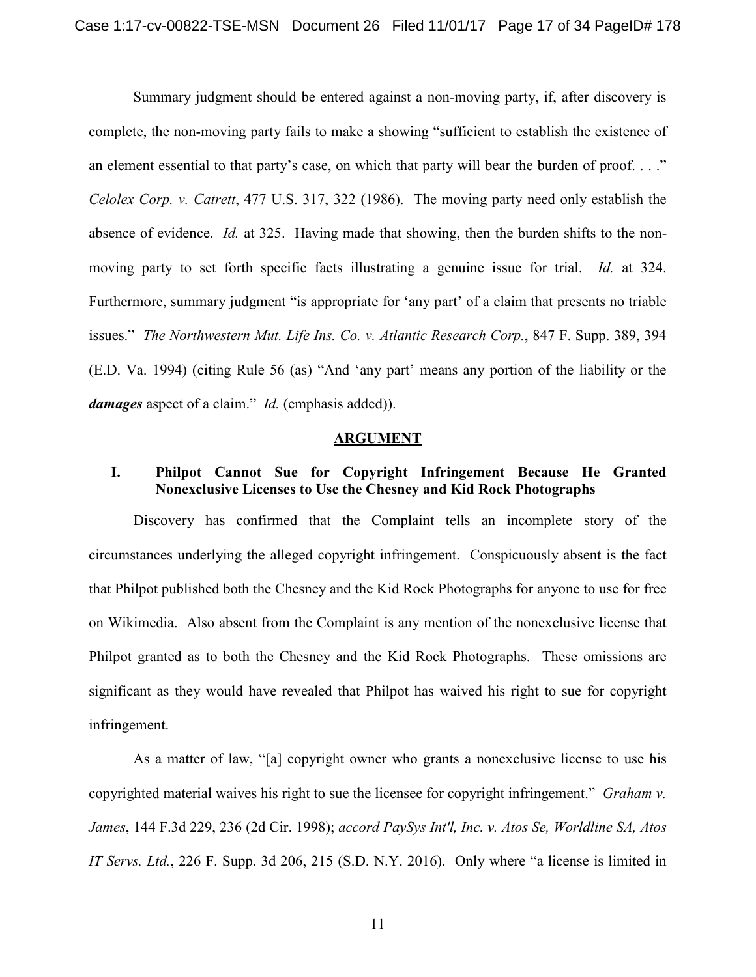Summary judgment should be entered against a non-moving party, if, after discovery is complete, the non-moving party fails to make a showing "sufficient to establish the existence of an element essential to that party's case, on which that party will bear the burden of proof. . . ." *Celolex Corp. v. Catrett*, 477 U.S. 317, 322 (1986). The moving party need only establish the absence of evidence. *Id.* at 325. Having made that showing, then the burden shifts to the nonmoving party to set forth specific facts illustrating a genuine issue for trial. *Id.* at 324. Furthermore, summary judgment "is appropriate for 'any part' of a claim that presents no triable issues." *The Northwestern Mut. Life Ins. Co. v. Atlantic Research Corp.*, 847 F. Supp. 389, 394 (E.D. Va. 1994) (citing Rule 56 (as) "And 'any part' means any portion of the liability or the *damages* aspect of a claim." *Id.* (emphasis added)).

#### **ARGUMENT**

## **I. Philpot Cannot Sue for Copyright Infringement Because He Granted Nonexclusive Licenses to Use the Chesney and Kid Rock Photographs**

Discovery has confirmed that the Complaint tells an incomplete story of the circumstances underlying the alleged copyright infringement. Conspicuously absent is the fact that Philpot published both the Chesney and the Kid Rock Photographs for anyone to use for free on Wikimedia. Also absent from the Complaint is any mention of the nonexclusive license that Philpot granted as to both the Chesney and the Kid Rock Photographs. These omissions are significant as they would have revealed that Philpot has waived his right to sue for copyright infringement.

As a matter of law, "[a] copyright owner who grants a nonexclusive license to use his copyrighted material waives his right to sue the licensee for copyright infringement." *Graham v. James*, 144 F.3d 229, 236 (2d Cir. 1998); *accord PaySys Int'l, Inc. v. Atos Se, Worldline SA, Atos IT Servs. Ltd.*, 226 F. Supp. 3d 206, 215 (S.D. N.Y. 2016). Only where "a license is limited in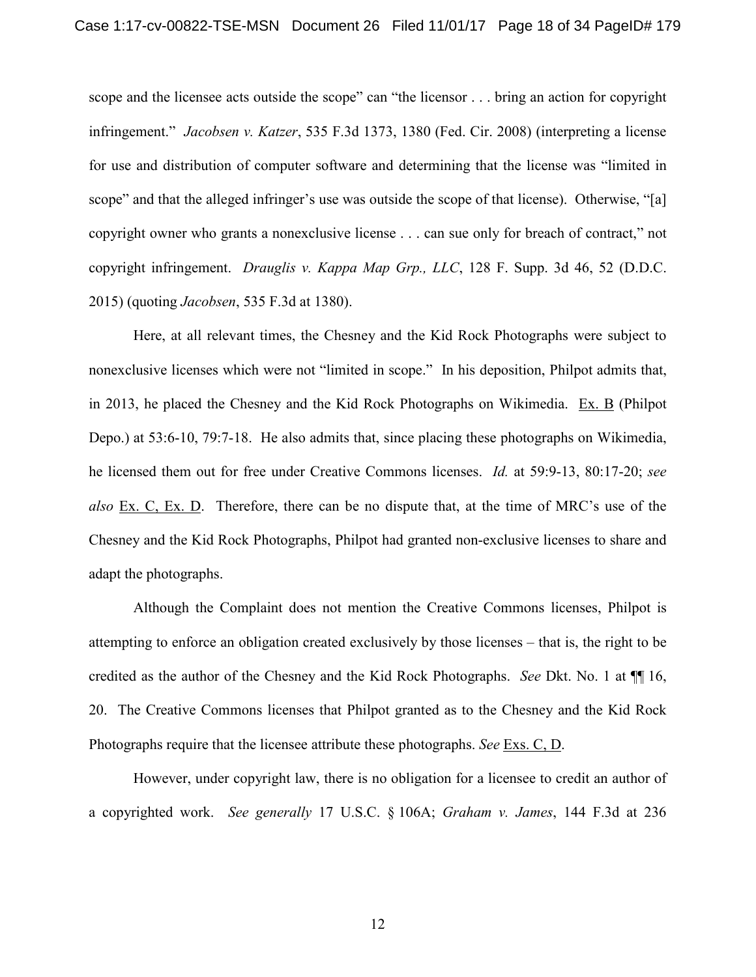scope and the licensee acts outside the scope" can "the licensor . . . bring an action for copyright infringement." *Jacobsen v. Katzer*, 535 F.3d 1373, 1380 (Fed. Cir. 2008) (interpreting a license for use and distribution of computer software and determining that the license was "limited in scope" and that the alleged infringer's use was outside the scope of that license). Otherwise, "[a] copyright owner who grants a nonexclusive license . . . can sue only for breach of contract," not copyright infringement. *Drauglis v. Kappa Map Grp., LLC*, 128 F. Supp. 3d 46, 52 (D.D.C. 2015) (quoting *Jacobsen*, 535 F.3d at 1380).

Here, at all relevant times, the Chesney and the Kid Rock Photographs were subject to nonexclusive licenses which were not "limited in scope." In his deposition, Philpot admits that, in 2013, he placed the Chesney and the Kid Rock Photographs on Wikimedia. Ex. B (Philpot Depo.) at 53:6-10, 79:7-18. He also admits that, since placing these photographs on Wikimedia, he licensed them out for free under Creative Commons licenses. *Id.* at 59:9-13, 80:17-20; *see also* Ex. C, Ex. D. Therefore, there can be no dispute that, at the time of MRC's use of the Chesney and the Kid Rock Photographs, Philpot had granted non-exclusive licenses to share and adapt the photographs.

Although the Complaint does not mention the Creative Commons licenses, Philpot is attempting to enforce an obligation created exclusively by those licenses – that is, the right to be credited as the author of the Chesney and the Kid Rock Photographs. *See* Dkt. No. 1 at ¶¶ 16, 20. The Creative Commons licenses that Philpot granted as to the Chesney and the Kid Rock Photographs require that the licensee attribute these photographs. *See* Exs. C, D.

However, under copyright law, there is no obligation for a licensee to credit an author of a copyrighted work. *See generally* 17 U.S.C. § 106A; *Graham v. James*, 144 F.3d at 236

12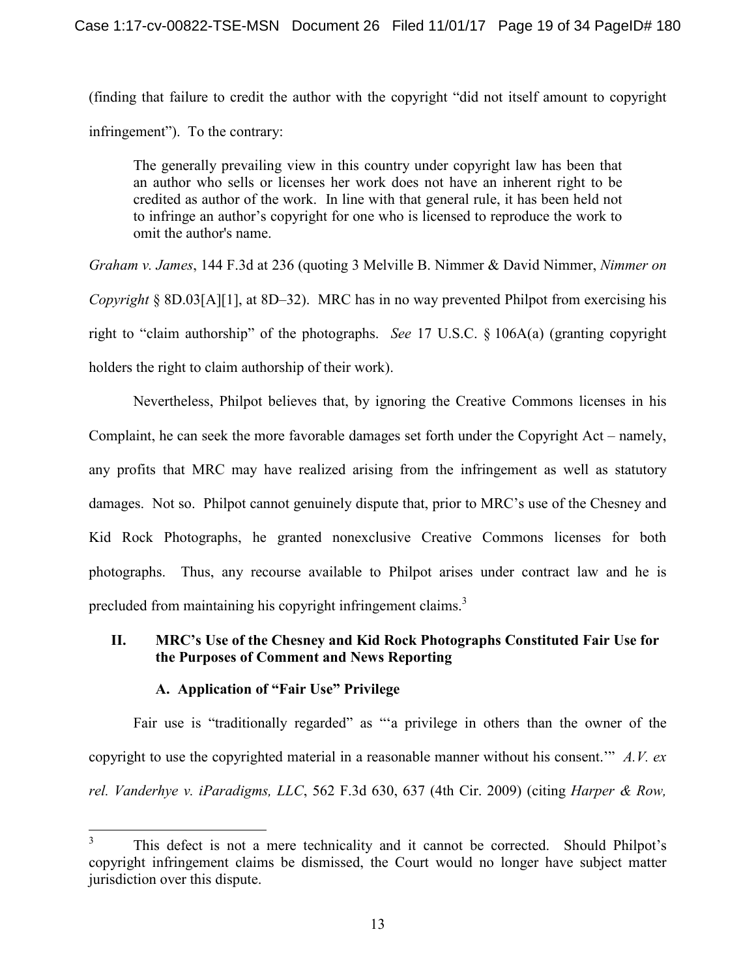(finding that failure to credit the author with the copyright "did not itself amount to copyright infringement"). To the contrary:

The generally prevailing view in this country under copyright law has been that an author who sells or licenses her work does not have an inherent right to be credited as author of the work. In line with that general rule, it has been held not to infringe an author's copyright for one who is licensed to reproduce the work to omit the author's name.

*Graham v. James*, 144 F.3d at 236 (quoting 3 Melville B. Nimmer & David Nimmer, *Nimmer on Copyright* § 8D.03[A][1], at 8D–32). MRC has in no way prevented Philpot from exercising his right to "claim authorship" of the photographs. *See* 17 U.S.C. § 106A(a) (granting copyright holders the right to claim authorship of their work).

Nevertheless, Philpot believes that, by ignoring the Creative Commons licenses in his Complaint, he can seek the more favorable damages set forth under the Copyright Act – namely, any profits that MRC may have realized arising from the infringement as well as statutory damages. Not so. Philpot cannot genuinely dispute that, prior to MRC's use of the Chesney and Kid Rock Photographs, he granted nonexclusive Creative Commons licenses for both photographs. Thus, any recourse available to Philpot arises under contract law and he is precluded from maintaining his copyright infringement claims.<sup>3</sup>

## **II. MRC's Use of the Chesney and Kid Rock Photographs Constituted Fair Use for the Purposes of Comment and News Reporting**

## **A. Application of "Fair Use" Privilege**

Fair use is "traditionally regarded" as "a privilege in others than the owner of the copyright to use the copyrighted material in a reasonable manner without his consent.'" *A.V. ex rel. Vanderhye v. iParadigms, LLC*, 562 F.3d 630, 637 (4th Cir. 2009) (citing *Harper & Row,* 

<sup>3</sup> This defect is not a mere technicality and it cannot be corrected. Should Philpot's copyright infringement claims be dismissed, the Court would no longer have subject matter jurisdiction over this dispute.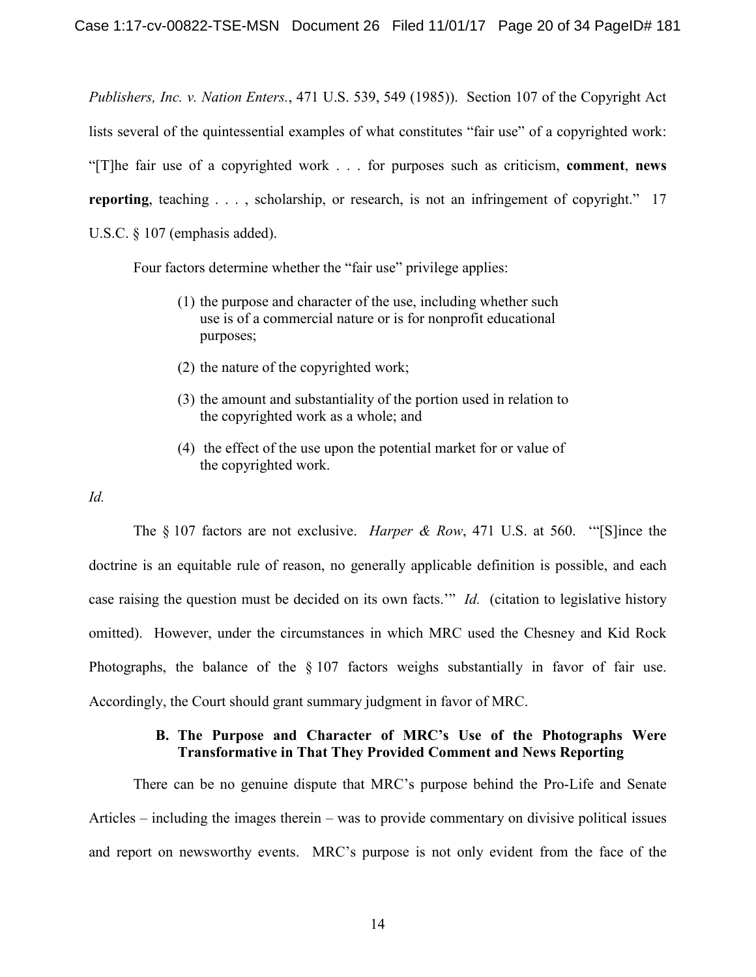*Publishers, Inc. v. Nation Enters.*, 471 U.S. 539, 549 (1985)). Section 107 of the Copyright Act lists several of the quintessential examples of what constitutes "fair use" of a copyrighted work: "[T]he fair use of a copyrighted work . . . for purposes such as criticism, **comment**, **news reporting**, teaching . . . , scholarship, or research, is not an infringement of copyright." 17 U.S.C. § 107 (emphasis added).

Four factors determine whether the "fair use" privilege applies:

- (1) the purpose and character of the use, including whether such use is of a commercial nature or is for nonprofit educational purposes;
- (2) the nature of the copyrighted work;
- (3) the amount and substantiality of the portion used in relation to the copyrighted work as a whole; and
- (4) the effect of the use upon the potential market for or value of the copyrighted work.
- *Id.*

The § 107 factors are not exclusive. *Harper & Row*, 471 U.S. at 560. '"[S]ince the doctrine is an equitable rule of reason, no generally applicable definition is possible, and each case raising the question must be decided on its own facts.'" *Id.* (citation to legislative history omitted). However, under the circumstances in which MRC used the Chesney and Kid Rock Photographs, the balance of the § 107 factors weighs substantially in favor of fair use. Accordingly, the Court should grant summary judgment in favor of MRC.

## **B. The Purpose and Character of MRC's Use of the Photographs Were Transformative in That They Provided Comment and News Reporting**

There can be no genuine dispute that MRC's purpose behind the Pro-Life and Senate Articles – including the images therein – was to provide commentary on divisive political issues and report on newsworthy events. MRC's purpose is not only evident from the face of the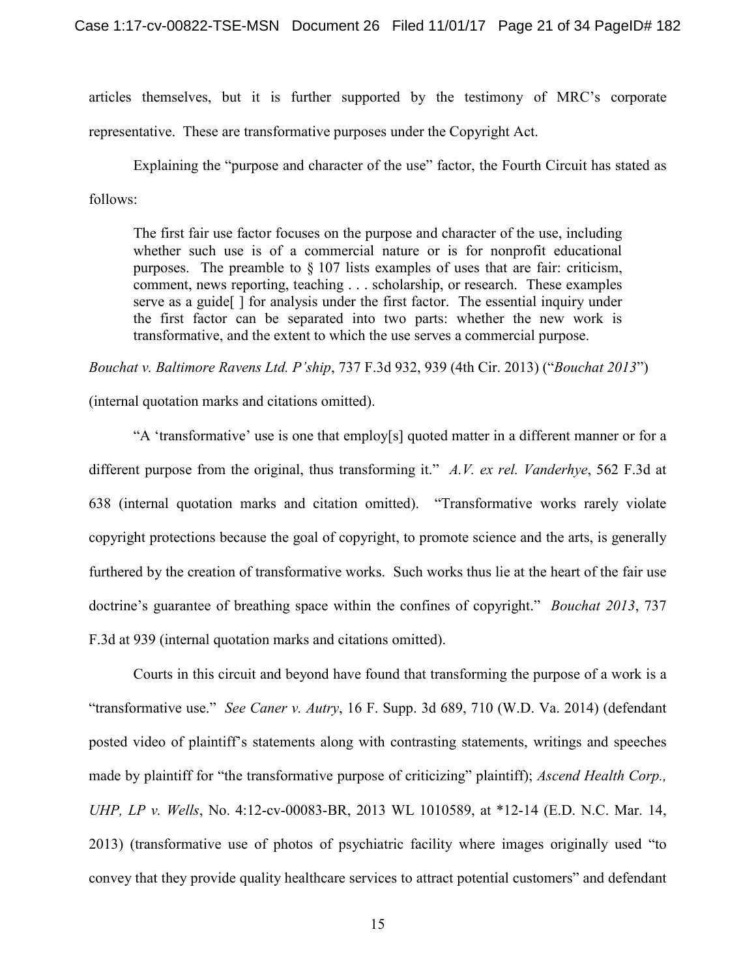articles themselves, but it is further supported by the testimony of MRC's corporate representative. These are transformative purposes under the Copyright Act.

Explaining the "purpose and character of the use" factor, the Fourth Circuit has stated as follows:

The first fair use factor focuses on the purpose and character of the use, including whether such use is of a commercial nature or is for nonprofit educational purposes. The preamble to § 107 lists examples of uses that are fair: criticism, comment, news reporting, teaching . . . scholarship, or research. These examples serve as a guide[ ] for analysis under the first factor. The essential inquiry under the first factor can be separated into two parts: whether the new work is transformative, and the extent to which the use serves a commercial purpose.

*Bouchat v. Baltimore Ravens Ltd. P'ship*, 737 F.3d 932, 939 (4th Cir. 2013) ("*Bouchat 2013*")

(internal quotation marks and citations omitted).

"A 'transformative' use is one that employ[s] quoted matter in a different manner or for a different purpose from the original, thus transforming it." *A.V. ex rel. Vanderhye*, 562 F.3d at 638 (internal quotation marks and citation omitted). "Transformative works rarely violate copyright protections because the goal of copyright, to promote science and the arts, is generally furthered by the creation of transformative works. Such works thus lie at the heart of the fair use doctrine's guarantee of breathing space within the confines of copyright." *Bouchat 2013*, 737 F.3d at 939 (internal quotation marks and citations omitted).

Courts in this circuit and beyond have found that transforming the purpose of a work is a "transformative use." *See Caner v. Autry*, 16 F. Supp. 3d 689, 710 (W.D. Va. 2014) (defendant posted video of plaintiff's statements along with contrasting statements, writings and speeches made by plaintiff for "the transformative purpose of criticizing" plaintiff); *Ascend Health Corp., UHP, LP v. Wells*, No. 4:12-cv-00083-BR, 2013 WL 1010589, at \*12-14 (E.D. N.C. Mar. 14, 2013) (transformative use of photos of psychiatric facility where images originally used "to convey that they provide quality healthcare services to attract potential customers" and defendant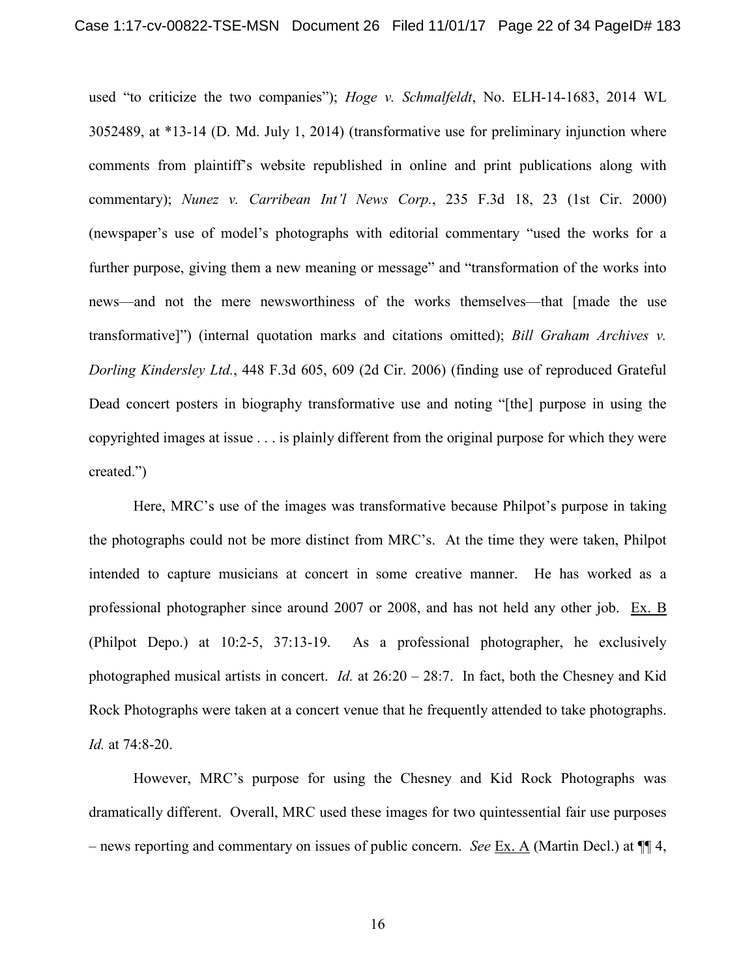used "to criticize the two companies"); *Hoge v. Schmalfeldt*, No. ELH-14-1683, 2014 WL 3052489, at \*13-14 (D. Md. July 1, 2014) (transformative use for preliminary injunction where comments from plaintiff's website republished in online and print publications along with commentary); *Nunez v. Carribean Int'l News Corp.*, 235 F.3d 18, 23 (1st Cir. 2000) (newspaper's use of model's photographs with editorial commentary "used the works for a further purpose, giving them a new meaning or message" and "transformation of the works into news—and not the mere newsworthiness of the works themselves—that [made the use transformative]") (internal quotation marks and citations omitted); *Bill Graham Archives v. Dorling Kindersley Ltd.*, 448 F.3d 605, 609 (2d Cir. 2006) (finding use of reproduced Grateful Dead concert posters in biography transformative use and noting "[the] purpose in using the copyrighted images at issue . . . is plainly different from the original purpose for which they were created.")

Here, MRC's use of the images was transformative because Philpot's purpose in taking the photographs could not be more distinct from MRC's. At the time they were taken, Philpot intended to capture musicians at concert in some creative manner. He has worked as a professional photographer since around 2007 or 2008, and has not held any other job. Ex. B (Philpot Depo.) at 10:2-5, 37:13-19. As a professional photographer, he exclusively photographed musical artists in concert. *Id.* at 26:20 – 28:7. In fact, both the Chesney and Kid Rock Photographs were taken at a concert venue that he frequently attended to take photographs. *Id.* at 74:8-20.

However, MRC's purpose for using the Chesney and Kid Rock Photographs was dramatically different. Overall, MRC used these images for two quintessential fair use purposes – news reporting and commentary on issues of public concern. *See* Ex. A (Martin Decl.) at ¶¶ 4,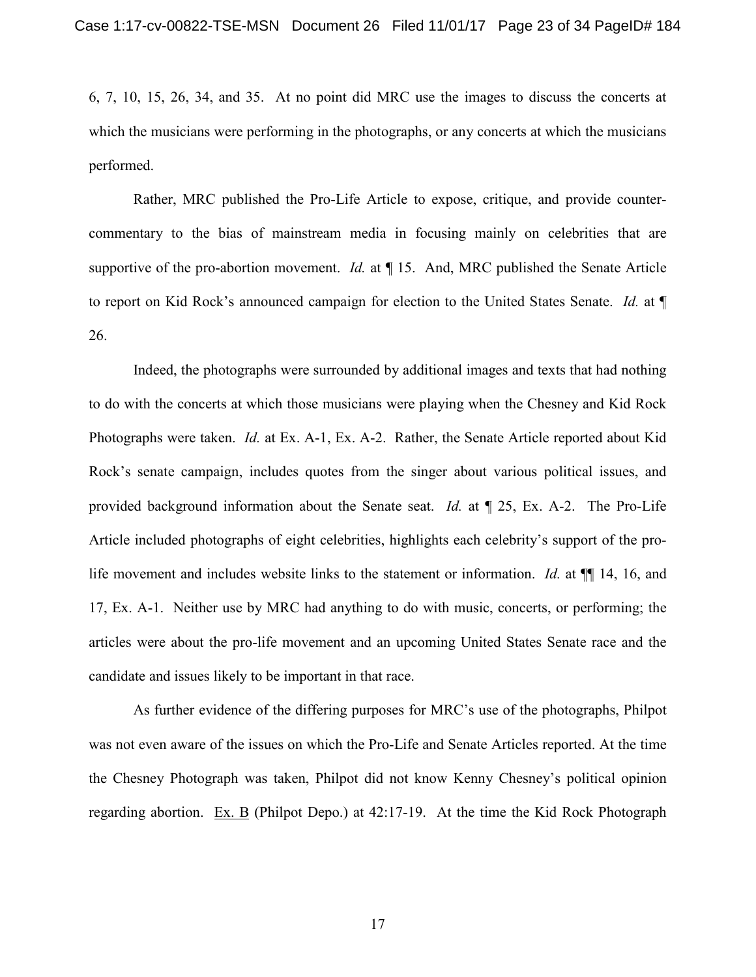6, 7, 10, 15, 26, 34, and 35. At no point did MRC use the images to discuss the concerts at which the musicians were performing in the photographs, or any concerts at which the musicians performed.

Rather, MRC published the Pro-Life Article to expose, critique, and provide countercommentary to the bias of mainstream media in focusing mainly on celebrities that are supportive of the pro-abortion movement. *Id.* at ¶ 15. And, MRC published the Senate Article to report on Kid Rock's announced campaign for election to the United States Senate. *Id.* at ¶ 26.

Indeed, the photographs were surrounded by additional images and texts that had nothing to do with the concerts at which those musicians were playing when the Chesney and Kid Rock Photographs were taken. *Id.* at Ex. A-1, Ex. A-2. Rather, the Senate Article reported about Kid Rock's senate campaign, includes quotes from the singer about various political issues, and provided background information about the Senate seat. *Id.* at ¶ 25, Ex. A-2. The Pro-Life Article included photographs of eight celebrities, highlights each celebrity's support of the prolife movement and includes website links to the statement or information. *Id.* at ¶¶ 14, 16, and 17, Ex. A-1. Neither use by MRC had anything to do with music, concerts, or performing; the articles were about the pro-life movement and an upcoming United States Senate race and the candidate and issues likely to be important in that race.

As further evidence of the differing purposes for MRC's use of the photographs, Philpot was not even aware of the issues on which the Pro-Life and Senate Articles reported. At the time the Chesney Photograph was taken, Philpot did not know Kenny Chesney's political opinion regarding abortion. Ex. B (Philpot Depo.) at 42:17-19. At the time the Kid Rock Photograph

17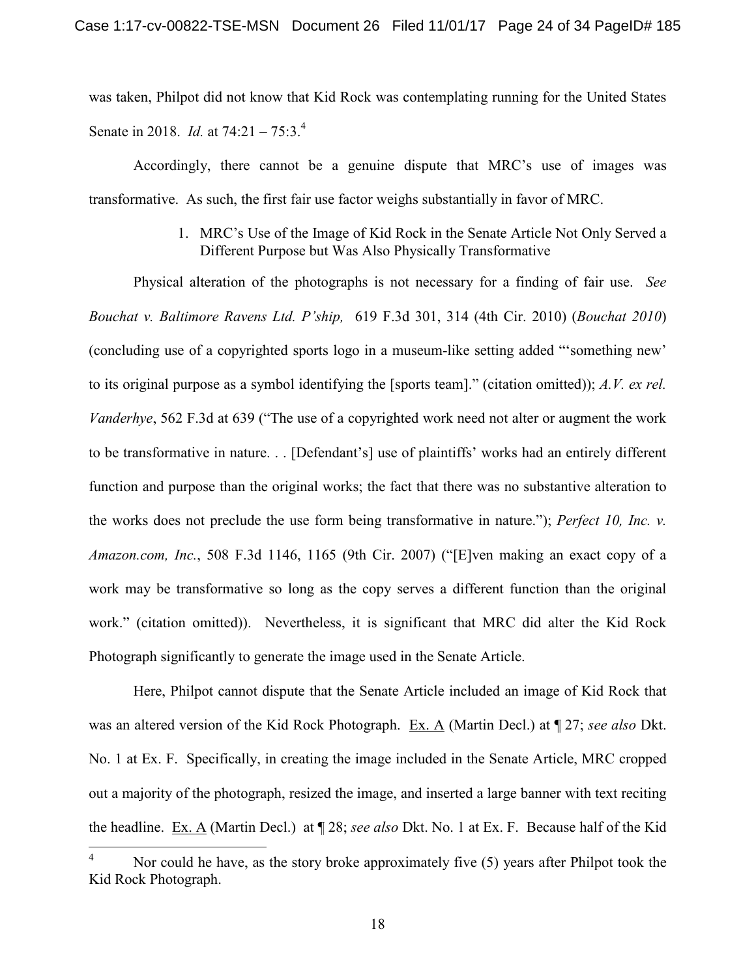was taken, Philpot did not know that Kid Rock was contemplating running for the United States Senate in 2018. *Id.* at 74:21 – 75:3.<sup>4</sup>

Accordingly, there cannot be a genuine dispute that MRC's use of images was transformative. As such, the first fair use factor weighs substantially in favor of MRC.

> 1. MRC's Use of the Image of Kid Rock in the Senate Article Not Only Served a Different Purpose but Was Also Physically Transformative

Physical alteration of the photographs is not necessary for a finding of fair use. *See Bouchat v. Baltimore Ravens Ltd. P'ship,* 619 F.3d 301, 314 (4th Cir. 2010) (*Bouchat 2010*) (concluding use of a copyrighted sports logo in a museum-like setting added "'something new' to its original purpose as a symbol identifying the [sports team]." (citation omitted)); *A.V. ex rel. Vanderhye*, 562 F.3d at 639 ("The use of a copyrighted work need not alter or augment the work to be transformative in nature. . . [Defendant's] use of plaintiffs' works had an entirely different function and purpose than the original works; the fact that there was no substantive alteration to the works does not preclude the use form being transformative in nature."); *Perfect 10, Inc. v. Amazon.com, Inc.*, 508 F.3d 1146, 1165 (9th Cir. 2007) ("[E]ven making an exact copy of a work may be transformative so long as the copy serves a different function than the original work." (citation omitted)). Nevertheless, it is significant that MRC did alter the Kid Rock Photograph significantly to generate the image used in the Senate Article.

Here, Philpot cannot dispute that the Senate Article included an image of Kid Rock that was an altered version of the Kid Rock Photograph. Ex. A (Martin Decl.) at ¶ 27; *see also* Dkt. No. 1 at Ex. F. Specifically, in creating the image included in the Senate Article, MRC cropped out a majority of the photograph, resized the image, and inserted a large banner with text reciting the headline. Ex. A (Martin Decl.) at ¶ 28; *see also* Dkt. No. 1 at Ex. F. Because half of the Kid

Nor could he have, as the story broke approximately five (5) years after Philpot took the Kid Rock Photograph.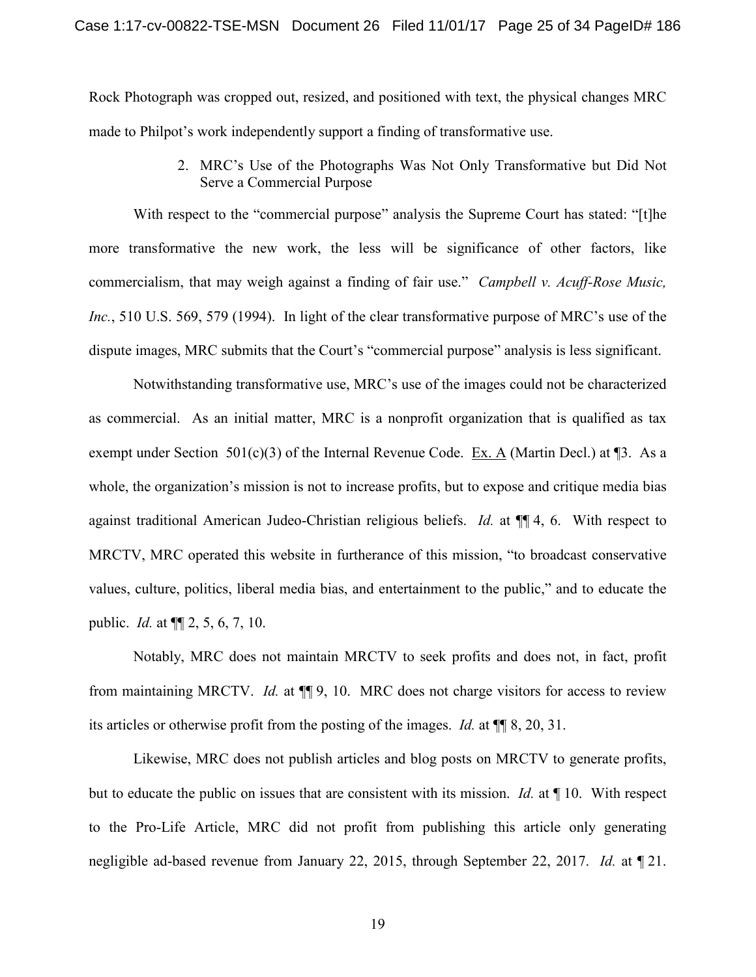Rock Photograph was cropped out, resized, and positioned with text, the physical changes MRC made to Philpot's work independently support a finding of transformative use.

> 2. MRC's Use of the Photographs Was Not Only Transformative but Did Not Serve a Commercial Purpose

With respect to the "commercial purpose" analysis the Supreme Court has stated: "[t]he more transformative the new work, the less will be significance of other factors, like commercialism, that may weigh against a finding of fair use." *Campbell v. Acuff-Rose Music, Inc.*, 510 U.S. 569, 579 (1994). In light of the clear transformative purpose of MRC's use of the dispute images, MRC submits that the Court's "commercial purpose" analysis is less significant.

Notwithstanding transformative use, MRC's use of the images could not be characterized as commercial. As an initial matter, MRC is a nonprofit organization that is qualified as tax exempt under Section 501(c)(3) of the Internal Revenue Code. Ex. A (Martin Decl.) at ¶3. As a whole, the organization's mission is not to increase profits, but to expose and critique media bias against traditional American Judeo-Christian religious beliefs. *Id.* at ¶¶ 4, 6. With respect to MRCTV, MRC operated this website in furtherance of this mission, "to broadcast conservative values, culture, politics, liberal media bias, and entertainment to the public," and to educate the public. *Id.* at ¶¶ 2, 5, 6, 7, 10.

Notably, MRC does not maintain MRCTV to seek profits and does not, in fact, profit from maintaining MRCTV. *Id.* at ¶¶ 9, 10. MRC does not charge visitors for access to review its articles or otherwise profit from the posting of the images. *Id.* at ¶¶ 8, 20, 31.

Likewise, MRC does not publish articles and blog posts on MRCTV to generate profits, but to educate the public on issues that are consistent with its mission. *Id.* at ¶ 10. With respect to the Pro-Life Article, MRC did not profit from publishing this article only generating negligible ad-based revenue from January 22, 2015, through September 22, 2017. *Id.* at ¶ 21.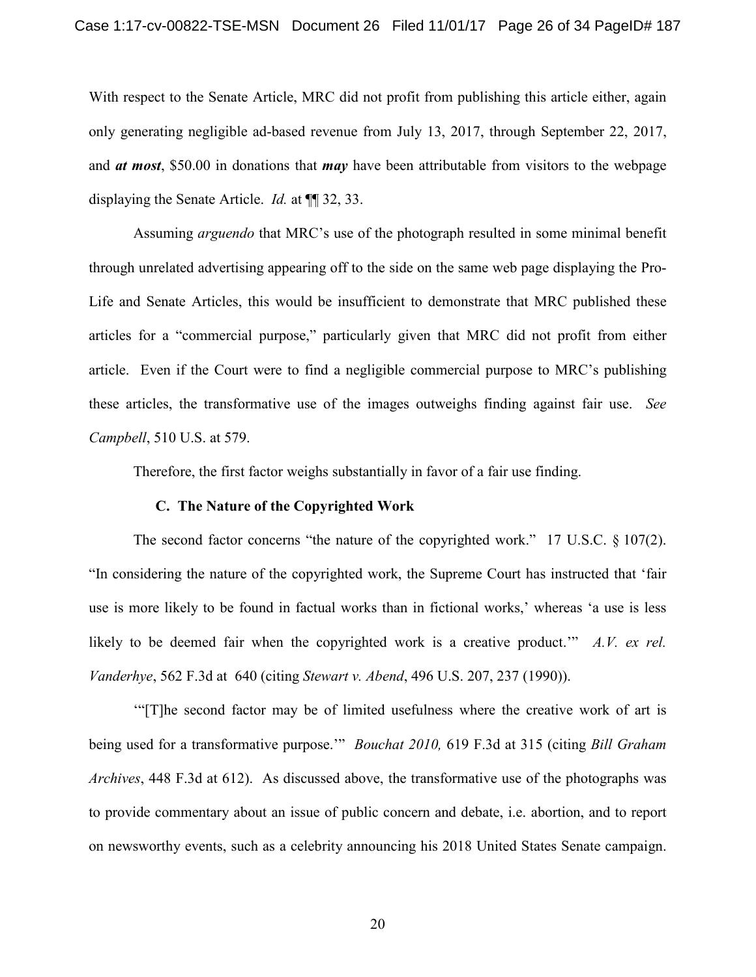With respect to the Senate Article, MRC did not profit from publishing this article either, again only generating negligible ad-based revenue from July 13, 2017, through September 22, 2017, and *at most*, \$50.00 in donations that *may* have been attributable from visitors to the webpage displaying the Senate Article. *Id.* at ¶¶ 32, 33.

Assuming *arguendo* that MRC's use of the photograph resulted in some minimal benefit through unrelated advertising appearing off to the side on the same web page displaying the Pro-Life and Senate Articles, this would be insufficient to demonstrate that MRC published these articles for a "commercial purpose," particularly given that MRC did not profit from either article. Even if the Court were to find a negligible commercial purpose to MRC's publishing these articles, the transformative use of the images outweighs finding against fair use. *See Campbell*, 510 U.S. at 579.

Therefore, the first factor weighs substantially in favor of a fair use finding.

#### **C. The Nature of the Copyrighted Work**

The second factor concerns "the nature of the copyrighted work." 17 U.S.C. § 107(2). "In considering the nature of the copyrighted work, the Supreme Court has instructed that 'fair use is more likely to be found in factual works than in fictional works,' whereas 'a use is less likely to be deemed fair when the copyrighted work is a creative product.'" *A.V. ex rel. Vanderhye*, 562 F.3d at 640 (citing *Stewart v. Abend*, 496 U.S. 207, 237 (1990)).

'"[T]he second factor may be of limited usefulness where the creative work of art is being used for a transformative purpose.'" *Bouchat 2010,* 619 F.3d at 315 (citing *Bill Graham Archives*, 448 F.3d at 612). As discussed above, the transformative use of the photographs was to provide commentary about an issue of public concern and debate, i.e. abortion, and to report on newsworthy events, such as a celebrity announcing his 2018 United States Senate campaign.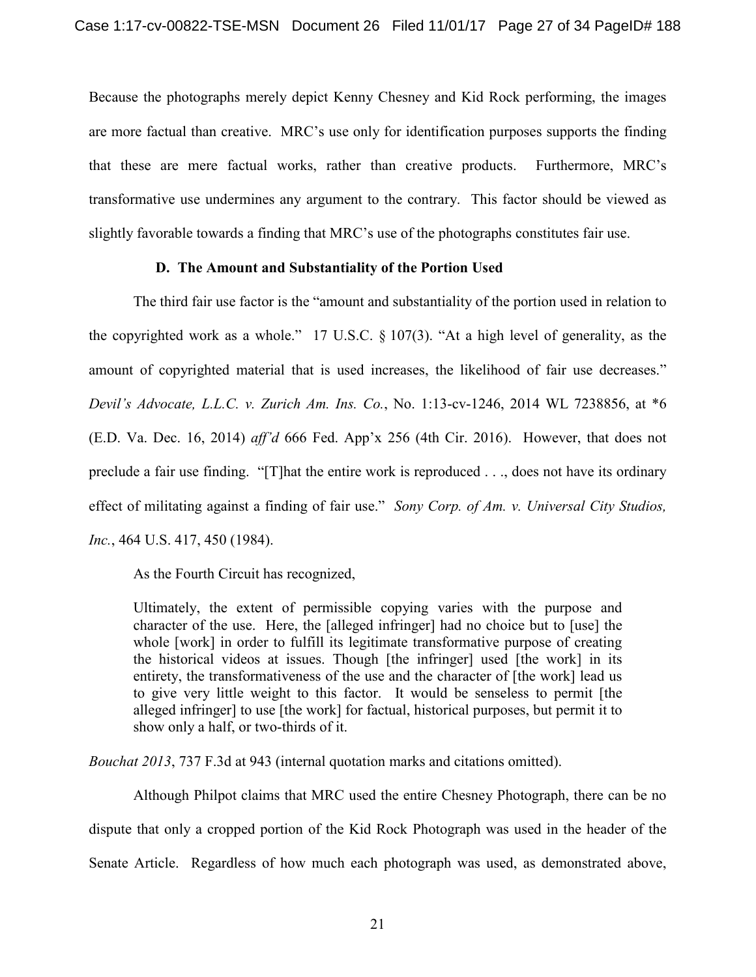Because the photographs merely depict Kenny Chesney and Kid Rock performing, the images are more factual than creative. MRC's use only for identification purposes supports the finding that these are mere factual works, rather than creative products. Furthermore, MRC's transformative use undermines any argument to the contrary. This factor should be viewed as slightly favorable towards a finding that MRC's use of the photographs constitutes fair use.

## **D. The Amount and Substantiality of the Portion Used**

The third fair use factor is the "amount and substantiality of the portion used in relation to the copyrighted work as a whole." 17 U.S.C. § 107(3). "At a high level of generality, as the amount of copyrighted material that is used increases, the likelihood of fair use decreases." *Devil's Advocate, L.L.C. v. Zurich Am. Ins. Co.*, No. 1:13-cv-1246, 2014 WL 7238856, at \*6 (E.D. Va. Dec. 16, 2014) *aff'd* 666 Fed. App'x 256 (4th Cir. 2016). However, that does not preclude a fair use finding. "[T]hat the entire work is reproduced . . ., does not have its ordinary effect of militating against a finding of fair use." *Sony Corp. of Am. v. Universal City Studios, Inc.*, 464 U.S. 417, 450 (1984).

As the Fourth Circuit has recognized,

Ultimately, the extent of permissible copying varies with the purpose and character of the use. Here, the [alleged infringer] had no choice but to [use] the whole [work] in order to fulfill its legitimate transformative purpose of creating the historical videos at issues. Though [the infringer] used [the work] in its entirety, the transformativeness of the use and the character of [the work] lead us to give very little weight to this factor. It would be senseless to permit [the alleged infringer] to use [the work] for factual, historical purposes, but permit it to show only a half, or two-thirds of it.

*Bouchat 2013*, 737 F.3d at 943 (internal quotation marks and citations omitted).

Although Philpot claims that MRC used the entire Chesney Photograph, there can be no dispute that only a cropped portion of the Kid Rock Photograph was used in the header of the Senate Article. Regardless of how much each photograph was used, as demonstrated above,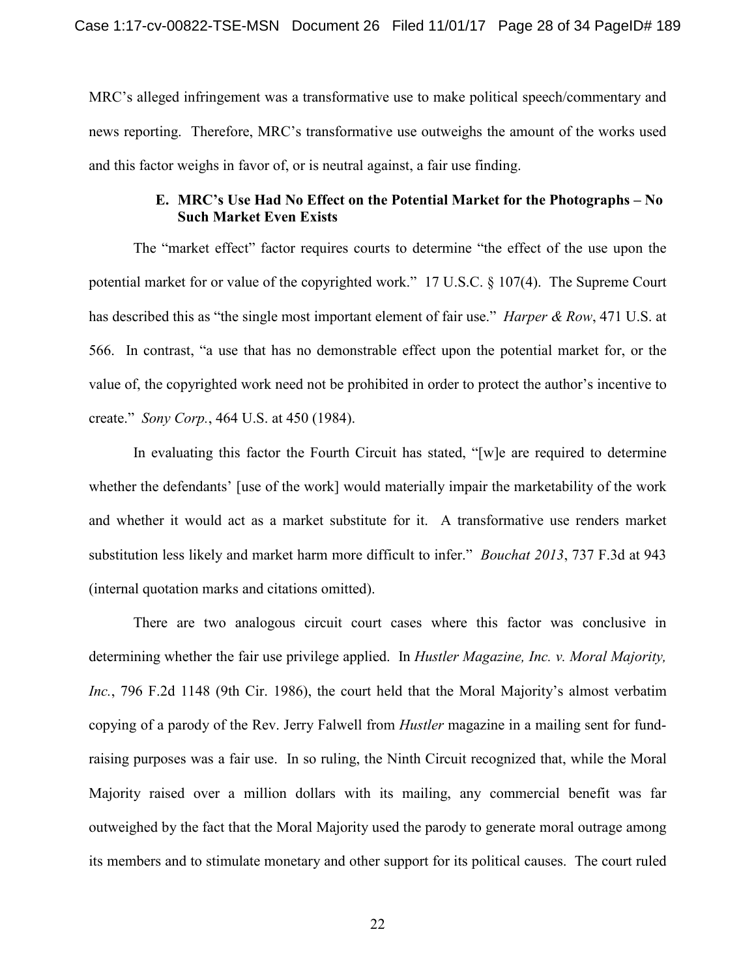MRC's alleged infringement was a transformative use to make political speech/commentary and news reporting. Therefore, MRC's transformative use outweighs the amount of the works used and this factor weighs in favor of, or is neutral against, a fair use finding.

### **E. MRC's Use Had No Effect on the Potential Market for the Photographs – No Such Market Even Exists**

The "market effect" factor requires courts to determine "the effect of the use upon the potential market for or value of the copyrighted work." 17 U.S.C. § 107(4). The Supreme Court has described this as "the single most important element of fair use." *Harper & Row*, 471 U.S. at 566. In contrast, "a use that has no demonstrable effect upon the potential market for, or the value of, the copyrighted work need not be prohibited in order to protect the author's incentive to create." *Sony Corp.*, 464 U.S. at 450 (1984).

In evaluating this factor the Fourth Circuit has stated, "[w]e are required to determine whether the defendants' [use of the work] would materially impair the marketability of the work and whether it would act as a market substitute for it. A transformative use renders market substitution less likely and market harm more difficult to infer." *Bouchat 2013*, 737 F.3d at 943 (internal quotation marks and citations omitted).

There are two analogous circuit court cases where this factor was conclusive in determining whether the fair use privilege applied. In *Hustler Magazine, Inc. v. Moral Majority, Inc.*, 796 F.2d 1148 (9th Cir. 1986), the court held that the Moral Majority's almost verbatim copying of a parody of the Rev. Jerry Falwell from *Hustler* magazine in a mailing sent for fundraising purposes was a fair use. In so ruling, the Ninth Circuit recognized that, while the Moral Majority raised over a million dollars with its mailing, any commercial benefit was far outweighed by the fact that the Moral Majority used the parody to generate moral outrage among its members and to stimulate monetary and other support for its political causes. The court ruled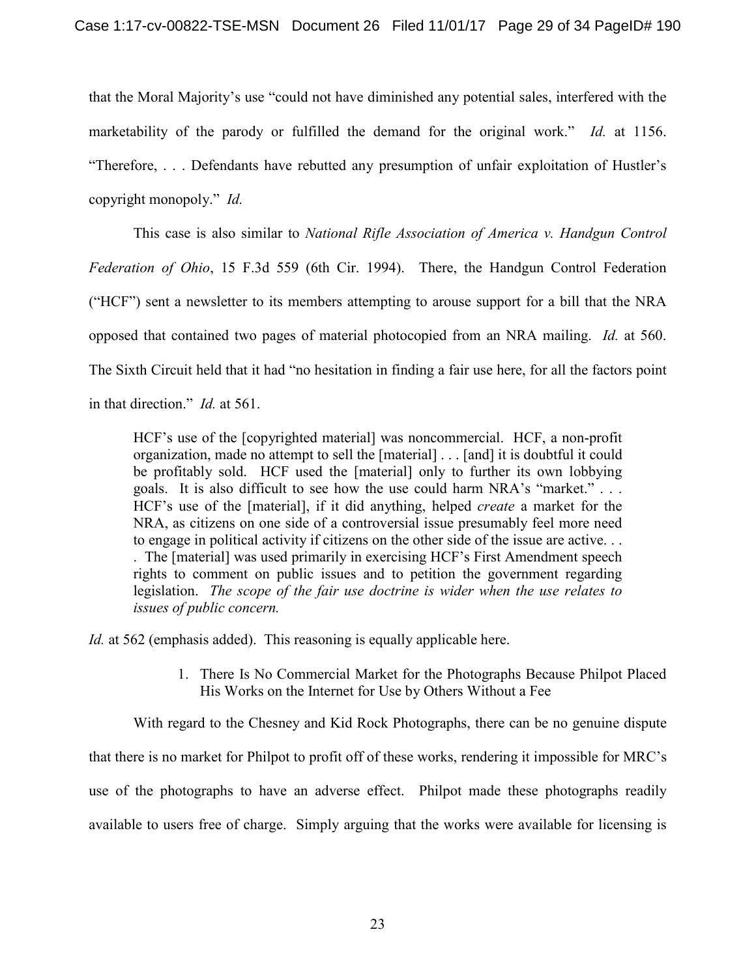that the Moral Majority's use "could not have diminished any potential sales, interfered with the marketability of the parody or fulfilled the demand for the original work." *Id.* at 1156. "Therefore, . . . Defendants have rebutted any presumption of unfair exploitation of Hustler's copyright monopoly." *Id.* 

This case is also similar to *National Rifle Association of America v. Handgun Control Federation of Ohio*, 15 F.3d 559 (6th Cir. 1994). There, the Handgun Control Federation ("HCF") sent a newsletter to its members attempting to arouse support for a bill that the NRA opposed that contained two pages of material photocopied from an NRA mailing. *Id.* at 560. The Sixth Circuit held that it had "no hesitation in finding a fair use here, for all the factors point in that direction." *Id.* at 561.

HCF's use of the [copyrighted material] was noncommercial. HCF, a non-profit organization, made no attempt to sell the [material] . . . [and] it is doubtful it could be profitably sold. HCF used the [material] only to further its own lobbying goals. It is also difficult to see how the use could harm NRA's "market." . . . HCF's use of the [material], if it did anything, helped *create* a market for the NRA, as citizens on one side of a controversial issue presumably feel more need to engage in political activity if citizens on the other side of the issue are active. . . . The [material] was used primarily in exercising HCF's First Amendment speech rights to comment on public issues and to petition the government regarding legislation. *The scope of the fair use doctrine is wider when the use relates to issues of public concern.*

*Id.* at 562 (emphasis added). This reasoning is equally applicable here.

1. There Is No Commercial Market for the Photographs Because Philpot Placed His Works on the Internet for Use by Others Without a Fee

With regard to the Chesney and Kid Rock Photographs, there can be no genuine dispute

that there is no market for Philpot to profit off of these works, rendering it impossible for MRC's

use of the photographs to have an adverse effect. Philpot made these photographs readily

available to users free of charge. Simply arguing that the works were available for licensing is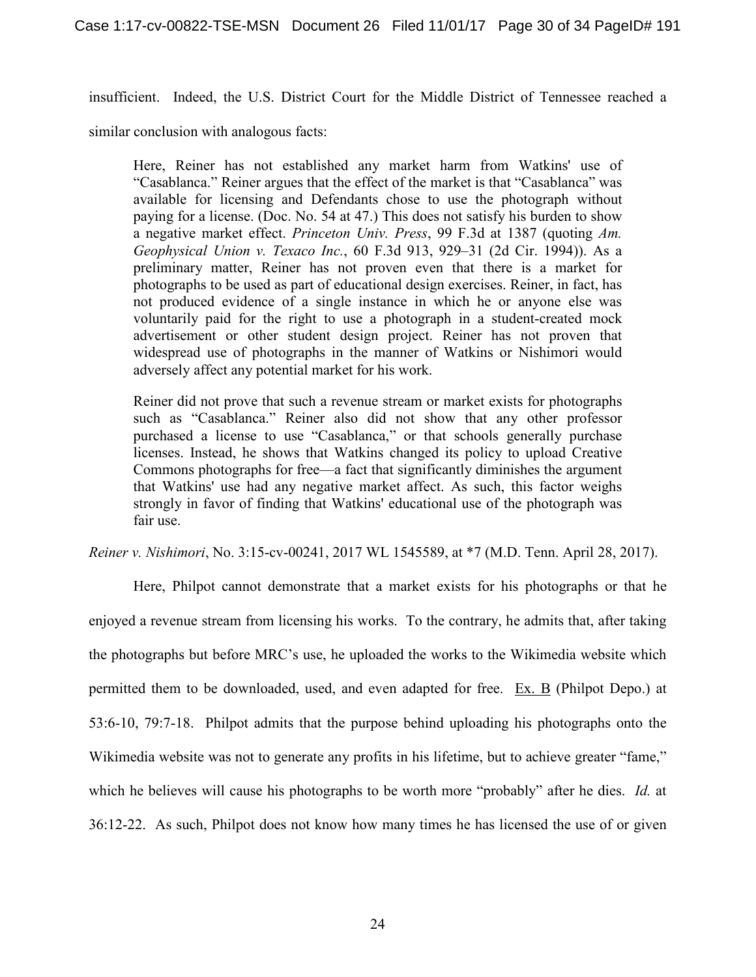insufficient. Indeed, the U.S. District Court for the Middle District of Tennessee reached a

similar conclusion with analogous facts:

Here, Reiner has not established any market harm from Watkins' use of "Casablanca." Reiner argues that the effect of the market is that "Casablanca" was available for licensing and Defendants chose to use the photograph without paying for a license. (Doc. No. 54 at 47.) This does not satisfy his burden to show a negative market effect. *Princeton Univ. Press*, 99 F.3d at 1387 (quoting *Am. Geophysical Union v. Texaco Inc.*, 60 F.3d 913, 929–31 (2d Cir. 1994)). As a preliminary matter, Reiner has not proven even that there is a market for photographs to be used as part of educational design exercises. Reiner, in fact, has not produced evidence of a single instance in which he or anyone else was voluntarily paid for the right to use a photograph in a student-created mock advertisement or other student design project. Reiner has not proven that widespread use of photographs in the manner of Watkins or Nishimori would adversely affect any potential market for his work.

Reiner did not prove that such a revenue stream or market exists for photographs such as "Casablanca." Reiner also did not show that any other professor purchased a license to use "Casablanca," or that schools generally purchase licenses. Instead, he shows that Watkins changed its policy to upload Creative Commons photographs for free—a fact that significantly diminishes the argument that Watkins' use had any negative market affect. As such, this factor weighs strongly in favor of finding that Watkins' educational use of the photograph was fair use.

*Reiner v. Nishimori*, No. 3:15-cv-00241, 2017 WL 1545589, at \*7 (M.D. Tenn. April 28, 2017).

Here, Philpot cannot demonstrate that a market exists for his photographs or that he enjoyed a revenue stream from licensing his works. To the contrary, he admits that, after taking the photographs but before MRC's use, he uploaded the works to the Wikimedia website which permitted them to be downloaded, used, and even adapted for free. Ex. B (Philpot Depo.) at 53:6-10, 79:7-18. Philpot admits that the purpose behind uploading his photographs onto the Wikimedia website was not to generate any profits in his lifetime, but to achieve greater "fame," which he believes will cause his photographs to be worth more "probably" after he dies. *Id.* at 36:12-22. As such, Philpot does not know how many times he has licensed the use of or given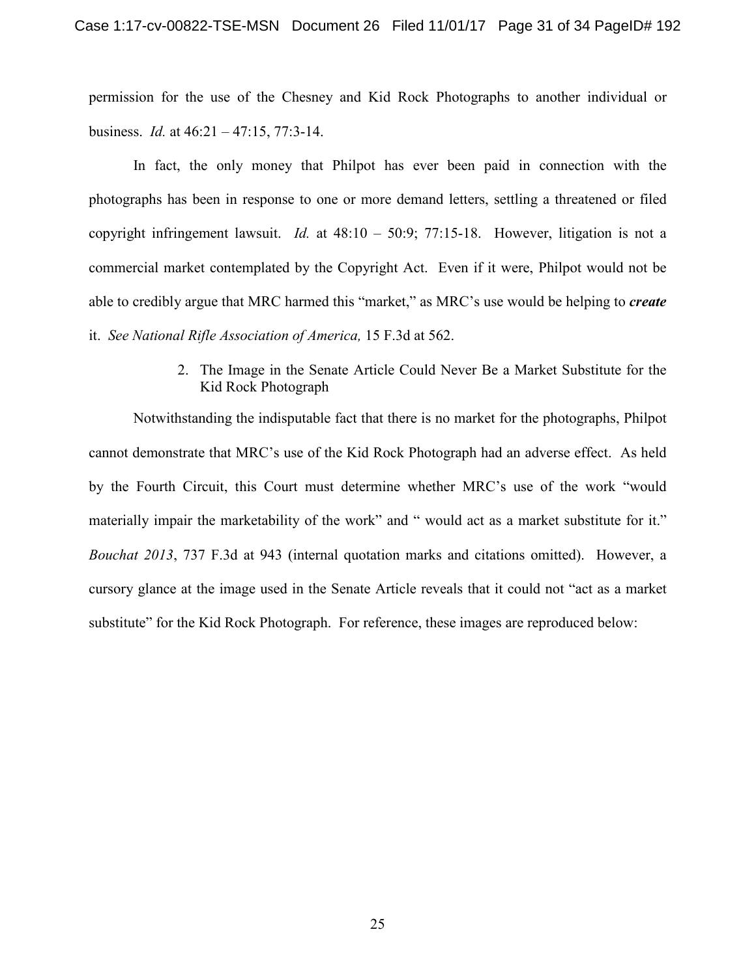permission for the use of the Chesney and Kid Rock Photographs to another individual or business. *Id.* at 46:21 – 47:15, 77:3-14.

In fact, the only money that Philpot has ever been paid in connection with the photographs has been in response to one or more demand letters, settling a threatened or filed copyright infringement lawsuit. *Id.* at 48:10 – 50:9; 77:15-18. However, litigation is not a commercial market contemplated by the Copyright Act. Even if it were, Philpot would not be able to credibly argue that MRC harmed this "market," as MRC's use would be helping to *create* it. *See National Rifle Association of America,* 15 F.3d at 562.

> 2. The Image in the Senate Article Could Never Be a Market Substitute for the Kid Rock Photograph

Notwithstanding the indisputable fact that there is no market for the photographs, Philpot cannot demonstrate that MRC's use of the Kid Rock Photograph had an adverse effect. As held by the Fourth Circuit, this Court must determine whether MRC's use of the work "would materially impair the marketability of the work" and " would act as a market substitute for it." *Bouchat 2013*, 737 F.3d at 943 (internal quotation marks and citations omitted). However, a cursory glance at the image used in the Senate Article reveals that it could not "act as a market substitute" for the Kid Rock Photograph. For reference, these images are reproduced below: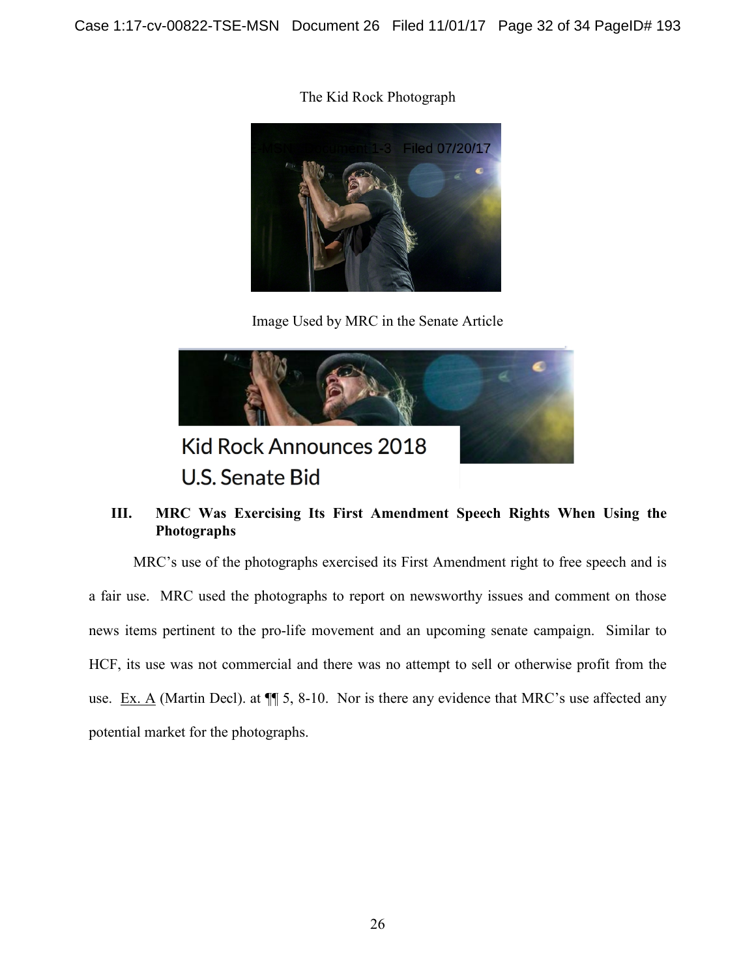The Kid Rock Photograph



Image Used by MRC in the Senate Article



## **III. MRC Was Exercising Its First Amendment Speech Rights When Using the Photographs**

MRC's use of the photographs exercised its First Amendment right to free speech and is a fair use. MRC used the photographs to report on newsworthy issues and comment on those news items pertinent to the pro-life movement and an upcoming senate campaign. Similar to HCF, its use was not commercial and there was no attempt to sell or otherwise profit from the use. Ex. A (Martin Decl). at  $\P$  5, 8-10. Nor is there any evidence that MRC's use affected any potential market for the photographs.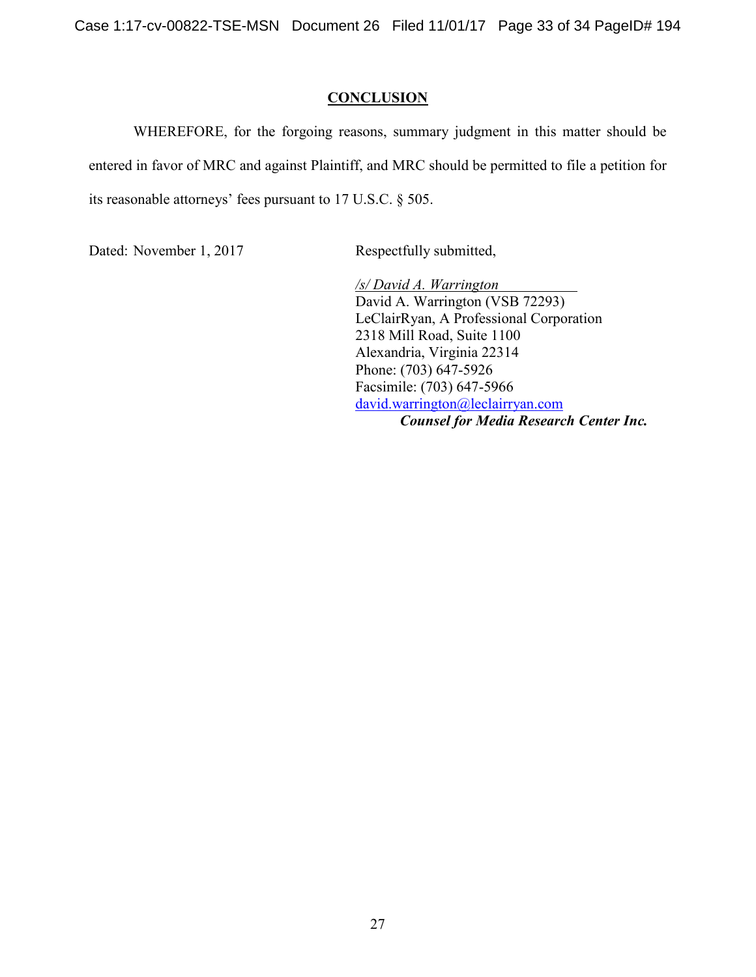Case 1:17-cv-00822-TSE-MSN Document 26 Filed 11/01/17 Page 33 of 34 PageID# 194

### **CONCLUSION**

WHEREFORE, for the forgoing reasons, summary judgment in this matter should be entered in favor of MRC and against Plaintiff, and MRC should be permitted to file a petition for its reasonable attorneys' fees pursuant to 17 U.S.C. § 505.

Dated: November 1, 2017 Respectfully submitted,

*/s/ David A. Warrington*  David A. Warrington (VSB 72293) LeClairRyan, A Professional Corporation 2318 Mill Road, Suite 1100 Alexandria, Virginia 22314 Phone: (703) 647-5926 Facsimile: (703) 647-5966 david.warrington@leclairryan.com *Counsel for Media Research Center Inc.*